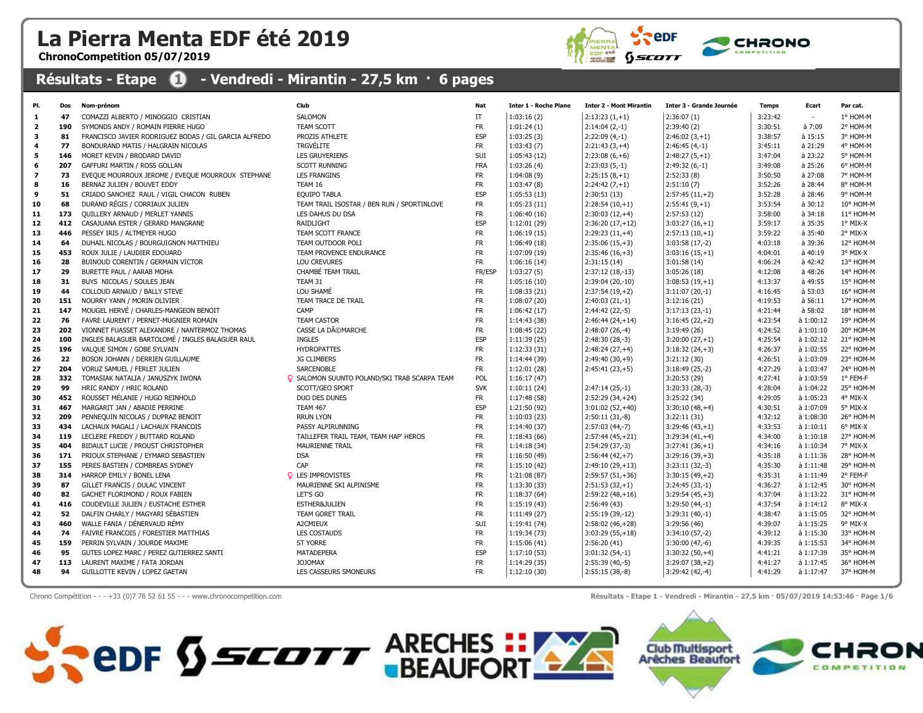## La Pierra Menta EDF été 2019

ChronoCompetition 05/07/2019



## Résultats - Etape **1 - Vendredi - Mirantin - 27,5 km · 6 pages**

| PI.                      | Dos        | Nom-prénom                                                             | Club                                                | <b>Nat</b>             | <b>Inter 1 - Roche Plane</b> | <b>Inter 2 - Mont Mirantin</b>        | Inter 3 - Grande Journée             | <b>Temps</b>       | Ecart                  | Par cat.              |
|--------------------------|------------|------------------------------------------------------------------------|-----------------------------------------------------|------------------------|------------------------------|---------------------------------------|--------------------------------------|--------------------|------------------------|-----------------------|
| -1                       | 47         | COMAZZI ALBERTO / MINOGGIO CRISTIAN                                    | SALOMON                                             | IT                     | 1:03:16(2)                   | $2:13:23(1,+1)$                       | 2:36:07(1)                           | 3:23:42            | $\overline{a}$         | 1° HOM-M              |
| $\overline{2}$           | 190        | SYMONDS ANDY / ROMAIN PIERRE HUGO                                      | TEAM SCOTT                                          | <b>FR</b>              | 1:01:24(1)                   | $2:14:04(2,-1)$                       | 2:39:40(2)                           | 3:30:51            | à 7:09                 | 2° HOM-M              |
| 3                        | 81         | FRANCISCO JAVIER RODRIGUEZ BODAS / GIL GARCIA ALFREDO                  | PROZIS ATHLETE                                      | <b>ESP</b>             | 1:03:25(3)                   | $2:22:09(4,-1)$                       | $2:46:02(3,+1)$                      | 3:38:57            | à 15:15                | 3° HOM-M              |
| 4                        | 77         | BONDURAND MATIS / HALGRAIN NICOLAS                                     | <b>TRGVÉLITE</b>                                    | <b>FR</b>              | 1:03:43(7)                   | $2:21:43(3,+4)$                       | $2:46:45(4,-1)$                      | 3:45:11            | à 21:29                | 4° HOM-M              |
| 5                        | 146        | MORET KEVIN / BRODARD DAVID                                            | <b>LES GRUYERIENS</b>                               | SUI                    | 1:05:43(12)                  | $2:23:08(6,+6)$                       | $2:48:27(5,+1)$                      | 3:47:04            | à 23:22                | 5° HOM-M              |
| 6                        | 207        | GAFFURI MARTIN / ROSS GOLLAN                                           | <b>SCOTT RUNNING</b>                                | <b>FRA</b>             | 1:03:26(4)                   | $2:23:03(5,-1)$                       | $2:49:32(6,-1)$                      | 3:49:08            | à 25:26                | 6° HOM-M              |
| $\overline{\phantom{a}}$ | 73         | EVEQUE MOURROUX JEROME / EVEQUE MOURROUX STEPHANE                      | <b>LES FRANGINS</b>                                 | <b>FR</b>              | 1:04:08(9)                   | $2:25:15(8,+1)$                       | 2:52:33(8)                           | 3:50:50            | à 27:08                | 7° HOM-M              |
| 8                        | 16         | BERNAZ JULIEN / BOUVET EDDY                                            | TEAM 16                                             | <b>FR</b>              | 1:03:47(8)                   | $2:24:42(7,+1)$                       | 2:51:10(7)                           | 3:52:26            | $a$ 28:44              | 8° HOM-M              |
| 9                        | 51         | CRIADO SANCHEZ RAUL / VIGIL CHACON RUBEN                               | <b>EQUIPO TABLA</b>                                 | <b>ESP</b>             | 1:05:53(13)                  | 2:30:51(13)                           | $2:57:45(11,+2)$                     | 3:52:28            | à 28:46                | 9° HOM-M              |
| 10                       | 68         | DURAND RÉGIS / CORRIAUX JULIEN                                         | TEAM TRAIL ISOSTAR / BEN RUN / SPORTINLOVE          | <b>FR</b>              | 1:05:23(11)                  | $2:28:54(10,+1)$                      | $2:55:41(9,+1)$                      | 3:53:54            | à 30:12                | 10° HOM-M             |
| 11                       | 173        | QUILLERY ARNAUD / MERLET YANNIS                                        | LES DAHUS DU DSA                                    | <b>FR</b>              | 1:06:40(16)                  | $2:30:03(12,+4)$                      | 2:57:53(12)                          | 3:58:00            | $a$ 34:18              | 11° HOM-M             |
| 12                       | 412        | CASAJUANA ESTER / GERARD MANGRANE                                      | RAIDLIGHT                                           | <b>ESP</b>             | 1:12:01(29)                  | $2:36:20(17,+12)$                     | $3:03:27(16,+1)$                     | 3:59:17            | à 35:35                | 1° MIX-X              |
| 13                       | 446        | PESSEY IRIS / ALTMEYER HUGO                                            | TEAM SCOTT FRANCE                                   | <b>FR</b>              | 1:06:19(15)                  | $2:29:23(11,+4)$                      | $2:57:13(10,+1)$                     | 3:59:22            | à 35:40                | 2° MIX-X              |
| 14                       | 64         | DUHAIL NICOLAS / BOURGUIGNON MATTHIEU                                  | TEAM OUTDOOR POLI                                   | <b>FR</b>              | 1:06:49 (18)                 | $2:35:06(15,+3)$                      | $3:03:58(17,-2)$                     | 4:03:18            | à 39:36                | 12° HOM-M             |
| 15                       | 453        | ROUX JULIE / LAUDIER EDOUARD                                           | TEAM PROVENCE ENDURANCE                             | <b>FR</b>              | 1:07:09 (19)                 | $2:35:46(16,+3)$                      | $3:03:16(15,+1)$                     | 4:04:01            | à 40:19                | 3° MIX-X              |
| 16                       | 28         | BUINOUD CORENTIN / GERMAIN VICTOR                                      | <b>LOU CREVURES</b>                                 | <b>FR</b>              | 1:06:16(14)                  | 2:31:15(14)                           | 3:01:58(14)                          | 4:06:24            | à 42:42                | 13° HOM-M             |
| 17                       | 29         | BURETTE PAUL / AARAB MOHA                                              | CHAMBÉ TEAM TRAIL                                   | FR/ESP                 | 1:03:27(5)                   | 2:37:12 (18,-13)                      | 3:05:26(18)                          | 4:12:08            | à 48:26                | 14° HOM-M             |
| 18                       | 31         | BUYS NICOLAS / SOULES JEAN                                             | TEAM 31                                             | <b>FR</b>              | 1:05:16(10)                  | 2:39:04 (20,-10)                      | $3:08:53(19,+1)$                     | 4:13:37            | à 49:55                | 15° HOM-M             |
| 19                       | 44         | COLLOUD ARNAUD / BALLY STEVE                                           | LOU SHAMÉ                                           | <b>FR</b>              | 1:08:33(21)                  | $2:37:54(19,+2)$                      | $3:11:07(20,-1)$                     | 4:16:45            | à 53:03                | 16° HOM-M             |
| 20                       | 151        | NOURRY YANN / MORIN OLIVIER                                            | TEAM TRACE DE TRAIL                                 | <b>FR</b>              | 1:08:07(20)                  | $2:40:03(21,-1)$                      | 3:12:16(21)                          | 4:19:53            | à 56:11                | 17° HOM-M             |
| 21                       | 147        | MOUGEL HERVÉ / CHARLES-MANGEON BENOIT                                  | CAMP                                                | <b>FR</b>              | 1:06:42(17)                  | $2:44:42(22,-5)$                      | $3:17:13(23,-1)$                     | 4:21:44            | à 58:02                | 18° HOM-M             |
| 22                       | 76         | FAVRE LAURENT / PERNET-MUGNIER ROMAIN                                  | <b>TEAM CASTOR</b>                                  | <b>FR</b>              | 1:14:43(38)                  | $2:46:44(24,+14)$                     | $3:16:45(22,+2)$                     | 4:23:54            | à 1:00:12              | 19° HOM-M             |
| 23                       | 202        | VIONNET FUASSET ALEXANDRE / NANTERMOZ THOMAS                           | CASSE LA DéMARCHE                                   | <b>FR</b>              | 1:08:45(22)                  | $2:48:07(26,-4)$                      | 3:19:49(26)                          | 4:24:52            | à 1:01:10              | 20° HOM-M             |
| 24                       | 100        | INGLES BALAGUER BARTOLOMÉ / INGLES BALAGUER RAUL                       | <b>INGLES</b>                                       | <b>ESP</b>             | 1:11:39(25)                  | $2:48:30(28,-3)$                      | $3:20:00(27,+1)$                     | 4:25:54            | à 1:02:12              | 21° HOM-M             |
| 25                       | 196        | VALQUE SIMON / GOBE SYLVAIN                                            | <b>HYDROPATTES</b>                                  | <b>FR</b>              | 1:12:33(31)                  | $2:48:24(27,+4)$                      | $3:18:32(24,+3)$                     | 4:26:37            | à 1:02:55              | 22° HOM-M             |
| 26                       | 22         | BOSON JOHANN / DERRIEN GUILLAUME                                       | <b>JG CLIMBERS</b>                                  | <b>FR</b>              | 1:14:44 (39)                 | $2:49:40(30,+9)$                      | 3:21:12(30)                          | 4:26:51            | à 1:03:09              | 23° HOM-M             |
| 27                       | 204        | VORUZ SAMUEL / FERLET JULIEN                                           | <b>SARCENOBLE</b>                                   | <b>FR</b>              | 1:12:01(28)                  | $2:45:41(23,+5)$                      | $3:18:49(25,-2)$                     | 4:27:29            | à 1:03:47              | 24° HOM-M             |
| 28                       | 332        | TOMASIAK NATALIA / JANUSZYK IWONA                                      | <b>Q</b> SALOMON SUUNTO POLAND/SKI TRAB SCARPA TEAM | <b>POL</b>             | 1:16:17(47)                  |                                       | 3:20:53(29)                          | 4:27:41            | à 1:03:59              | 1° FEM-F              |
| 29                       | 99         | HRIC RANDY / HRIC ROLAND                                               | SCOTT/GEO SPORT                                     | <b>SVK</b>             | 1:10:11(24)                  | $2:47:14(25,-1)$                      | $3:20:33(28,-3)$                     | 4:28:04            | à 1:04:22              | 25° HOM-M             |
| 30                       | 452        | ROUSSET MÉLANIE / HUGO REINHOLD                                        | DUO DES DUNES                                       | <b>FR</b>              | 1:17:48(58)                  | $2:52:29(34,+24)$                     | 3:25:22(34)                          | 4:29:05            | à 1:05:23              | 4° MIX-X              |
| 31                       | 467        | MARGARIT JAN / ABADIE PERRINE                                          | <b>TEAM 467</b>                                     | <b>ESP</b>             | 1:21:50 (92)                 | $3:01:02(52,+40)$                     | $3:30:10(48,+4)$                     | 4:30:51            | à 1:07:09              | 5° MIX-X              |
| 32                       | 209        | PENNEQUIN NICOLAS / DUPRAZ BENOIT                                      | <b>RRUN LYON</b>                                    | <b>FR</b>              | 1:10:03(23)                  | $2:50:11(31,-8)$                      | 3:22:11(31)                          | 4:32:12            | à 1:08:30              | 26° HOM-M             |
| 33                       | 434        | LACHAUX MAGALI / LACHAUX FRANCOIS                                      | PASSY ALPIRUNNING                                   | <b>FR</b>              | 1:14:40(37)                  | $2:57:03(44,-7)$                      | $3:29:46(43,+1)$                     | 4:33:53            | à 1:10:11              | 6° MIX-X              |
| 34                       | 119        | LECLERE FREDDY / BUTTARD ROLAND                                        | TAILLEFER TRAIL TEAM, TEAM HAP' HEROS               | <b>FR</b>              | 1:18:43(66)                  | $2:57:44(45,+21)$                     | $3:29:34(41,+4)$                     | 4:34:00            | à 1:10:18              | 27° HOM-M             |
| 35                       | 404        | BIDAULT LUCIE / PROUST CHRISTOPHER                                     | <b>MAURIENNE TRAIL</b>                              | <b>FR</b>              | 1:14:18(34)                  | $2:54:29(37,-3)$                      | $3:27:41(36,+1)$                     | 4:34:16            | à 1:10:34              | 7° MIX-X              |
| 36<br>37                 | 171<br>155 | PRIOUX STEPHANE / EYMARD SEBASTIEN                                     | <b>DSA</b><br>CAP                                   | <b>FR</b><br><b>FR</b> | 1:16:50(49)                  | $2:56:44(42,+7)$                      | $3:29:16(39,+3)$                     | 4:35:18<br>4:35:30 | à 1:11:36              | 28° HOM-M             |
| 38                       | 314        | PERES BASTIEN / COMBREAS SYDNEY                                        | <b>Q</b> LES IMPROVISTES                            | <b>FR</b>              | 1:15:10(42)                  | $2:49:10(29,+13)$                     | $3:23:11(32,-3)$                     | 4:35:31            | à 1:11:48<br>à 1:11:49 | 29° HOM-M<br>2° FEM-F |
|                          | 87         | HARROP EMILY / BONEL LENA                                              |                                                     | <b>FR</b>              | 1:21:08 (87)                 | $2:59:57(51,+36)$                     | $3:30:15(49,+2)$                     |                    |                        | 30° HOM-M             |
| 39<br>40                 | 82         | GILLET FRANCIS / DULAC VINCENT<br>GACHET FLORIMOND / ROUX FABIEN       | MAURIENNE SKI ALPINISME<br>LET'S GO                 | <b>FR</b>              | 1:13:30(33)<br>1:18:37(64)   | $2:51:53(32,+1)$<br>$2:59:22(48,+16)$ | $3:24:45(33,-1)$<br>$3:29:54(45,+3)$ | 4:36:27<br>4:37:04 | à 1:12:45<br>à 1:13:22 | 31° HOM-M             |
| 41                       | 416        | COUDEVILLE JULIEN / EUSTACHE ESTHER                                    | ESTHER&JULIEN                                       | <b>FR</b>              |                              | 2:56:49(43)                           | $3:29:50(44,-1)$                     | 4:37:54            | à 1:14:12              | 8° MIX-X              |
| 42                       | 52         | DALFIN CHARLY / MAGYARI SÉBASTIEN                                      | <b>TEAM GORET TRAIL</b>                             | <b>FR</b>              | 1:15:19(43)<br>1:11:49(27)   | 2:55:19 (39,-12)                      | $3:29:31(40,-1)$                     | 4:38:47            | à 1:15:05              | 32° HOM-M             |
| 43                       | 460        | WALLE FANIA / DÉNERVAUD RÉMY                                           | A2CMIEUX                                            | SUI                    | 1:19:41 (74)                 | $2:58:02(46,+28)$                     | 3:29:56(46)                          | 4:39:07            | à 1:15:25              | 9° MIX-X              |
| 44                       | 74         |                                                                        | <b>LES COSTAUDS</b>                                 | <b>FR</b>              |                              |                                       |                                      | 4:39:12            | à 1:15:30              | 33° HOM-M             |
| 45                       | 159        | FAIVRE FRANCOIS / FORESTIER MATTHIAS<br>PERRIN SYLVAIN / JOURDE MAXIME | ST YORRE                                            | <b>FR</b>              | 1:19:34 (73)<br>1:15:06(41)  | $3:03:29(55,+18)$<br>2:56:20(41)      | $3:34:10(57,-2)$<br>$3:30:00(47,-6)$ | 4:39:35            | à 1:15:53              | 34° HOM-M             |
| 46                       | 95         | GUTES LOPEZ MARC / PEREZ GUTIERREZ SANTI                               | MATADEPERA                                          | <b>ESP</b>             | 1:17:10(53)                  | $3:01:32(54,-1)$                      | $3:30:32(50,+4)$                     | 4:41:21            | à 1:17:39              | 35° HOM-M             |
| 47                       | 113        | LAURENT MAXIME / FATA JORDAN                                           | <b>JOJOMAX</b>                                      | <b>FR</b>              | 1:14:29 (35)                 | $2:55:39(40,-5)$                      | $3:29:07(38,+2)$                     | 4:41:27            | à 1:17:45              | 36° HOM-M             |
| 48                       | 94         | GUILLOTTE KEVIN / LOPEZ GAETAN                                         | LES CASSEURS SMONEURS                               | <b>FR</b>              | 1:12:10(30)                  | $2:55:15(38,-8)$                      | $3:29:42(42,-4)$                     | 4:41:29            | a 1:17:47              | 37° HOM-M             |
|                          |            |                                                                        |                                                     |                        |                              |                                       |                                      |                    |                        |                       |

Chrono Compétition - - - +33 (0)7 78 52 61 55 - - - www.chronocompetition.com <br>
Résultats - Etape 1 - Vendredi - Mirantin - 27,5 km · 05/07/2019 14:53:46 · Page 1/6

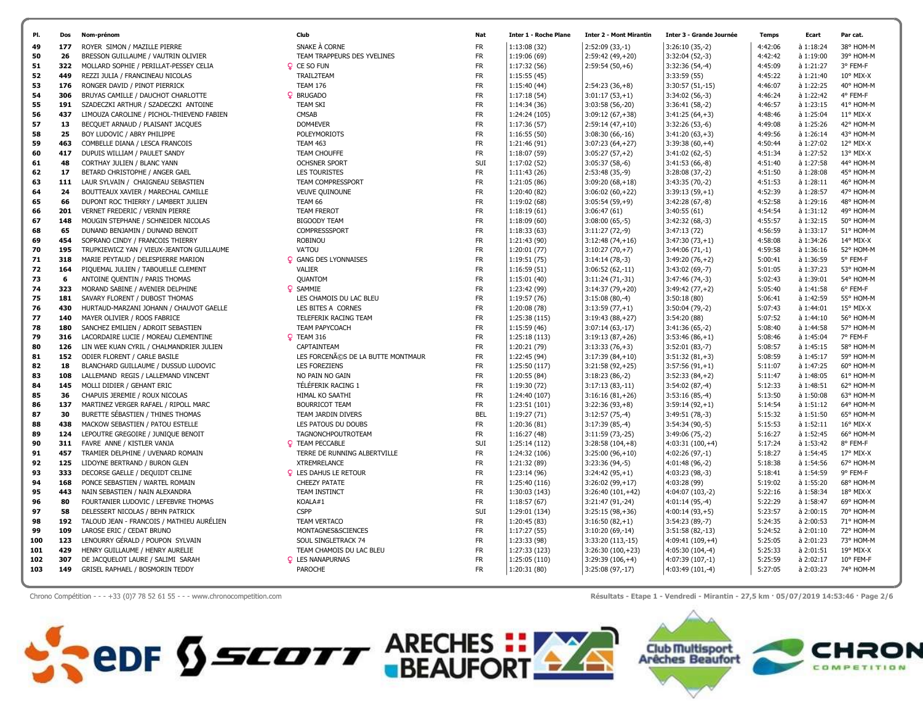| 177<br>49<br>26<br>50<br>322<br>51<br>449<br>52<br>176<br>53<br>54<br>306 | ROYER SIMON / MAZILLE PIERRE<br>BRESSON GUILLAUME / VAUTRIN OLIVIER<br>MOLLARD SOPHIE / PERILLAT-PESSEY CELIA<br>REZZI JULIA / FRANCINEAU NICOLAS<br>RONGER DAVID / PINOT PIERRICK<br>BRUYAS CAMILLE / DAUCHOT CHARLOTTE<br>SZADECZKI ARTHUR / SZADECZKI ANTOINE | SNAKE À CORNE<br>TEAM TRAPPEURS DES YVELINES<br>Q CE SO FUN<br>TRAIL2TEAM<br><b>TEAM 176</b><br><b>Q</b> BRUGADO | <b>FR</b><br><b>FR</b><br><b>FR</b><br><b>FR</b> | 1:13:08(32)<br>1:19:06 (69)<br>1:17:32(56) | $2:52:09(33,-1)$<br>$2:59:42(49,+20)$<br>$2:59:54(50,+6)$ | $3:26:10(35,-2)$<br>$3:32:04(52,-3)$<br>$3:32:36(54,-4)$ | 4:42:06<br>4:42:42<br>4:45:09 | à 1:18:24<br>à 1:19:00<br>à 1:21:27 | 38° HOM-M<br>39° HOM-M<br>3° FEM-F |
|---------------------------------------------------------------------------|------------------------------------------------------------------------------------------------------------------------------------------------------------------------------------------------------------------------------------------------------------------|------------------------------------------------------------------------------------------------------------------|--------------------------------------------------|--------------------------------------------|-----------------------------------------------------------|----------------------------------------------------------|-------------------------------|-------------------------------------|------------------------------------|
|                                                                           |                                                                                                                                                                                                                                                                  |                                                                                                                  |                                                  |                                            |                                                           |                                                          |                               |                                     |                                    |
|                                                                           |                                                                                                                                                                                                                                                                  |                                                                                                                  |                                                  |                                            |                                                           |                                                          |                               |                                     |                                    |
|                                                                           |                                                                                                                                                                                                                                                                  |                                                                                                                  |                                                  |                                            |                                                           |                                                          |                               |                                     |                                    |
|                                                                           |                                                                                                                                                                                                                                                                  |                                                                                                                  |                                                  | 1:15:55(45)                                |                                                           | 3:33:59(55)                                              | 4:45:22                       | à 1:21:40                           | $10^{\circ}$ MIX-X                 |
|                                                                           |                                                                                                                                                                                                                                                                  |                                                                                                                  | FR.                                              | 1:15:40 (44)                               | $2:54:23(36,+8)$                                          | $3:30:57(51,-15)$                                        | 4:46:07                       | à 1:22:25                           | 40° HOM-M                          |
|                                                                           |                                                                                                                                                                                                                                                                  |                                                                                                                  | <b>FR</b>                                        | 1:17:18(54)                                | $3:01:17(53,+1)$                                          | $3:34:02(56,-3)$                                         | 4:46:24                       | à 1:22:42                           | 4° FEM-F                           |
| 55<br>191                                                                 |                                                                                                                                                                                                                                                                  | <b>TEAM SKI</b>                                                                                                  | FR.                                              | 1:14:34(36)                                | 3:03:58 (56,-20)                                          | $3:36:41(58,-2)$                                         | 4:46:57                       | à 1:23:15                           | 41° HOM-M                          |
| 56<br>437                                                                 | LIMOUZA CAROLINE / PICHOL-THIEVEND FABIEN                                                                                                                                                                                                                        | CMSAB                                                                                                            | FR.                                              | 1:24:24 (105)                              | $3:09:12(67,+38)$                                         | $3:41:25(64,+3)$                                         | 4:48:46                       | à 1:25:04                           | $11^{\circ}$ MIX-X                 |
| 57<br>13                                                                  | BECQUET ARNAUD / PLAISANT JACQUES                                                                                                                                                                                                                                | DOM4EVER                                                                                                         | <b>FR</b>                                        | 1:17:36(57)                                | $2:59:14(47,+10)$                                         | $3:32:26(53,-6)$                                         | 4:49:08                       | à 1:25:26                           | 42° HOM-M                          |
| 25<br>58                                                                  | BOY LUDOVIC / ABRY PHILIPPE                                                                                                                                                                                                                                      | <b>POLEYMORIOTS</b>                                                                                              | <b>FR</b>                                        | 1:16:55(50)                                | 3:08:30 (66,-16)                                          | $3:41:20(63,+3)$                                         | 4:49:56                       | à 1:26:14                           | 43° HOM-M                          |
| 463<br>59                                                                 | COMBELLE DIANA / LESCA FRANCOIS                                                                                                                                                                                                                                  | <b>TEAM 463</b>                                                                                                  | <b>FR</b>                                        | 1:21:46 (91)                               | $3:07:23(64,+27)$                                         | $3:39:38(60,+4)$                                         | 4:50:44                       | à 1:27:02                           | 12° MIX-X                          |
| 417<br>60                                                                 | DUPUIS WILLIAM / PAULET SANDY                                                                                                                                                                                                                                    | TEAM CHOUFFE                                                                                                     | <b>FR</b>                                        | 1:18:07(59)                                | $3:05:27(57,+2)$                                          | $3:41:02(62,-5)$                                         | 4:51:34                       | à 1:27:52                           | 13° MIX-X                          |
| 48<br>61                                                                  | CORTHAY JULIEN / BLANC YANN                                                                                                                                                                                                                                      | <b>OCHSNER SPORT</b>                                                                                             | SUI                                              | 1:17:02 (52)                               | $3:05:37(58,-6)$                                          | $3:41:53(66,-8)$                                         | 4:51:40                       | à 1:27:58                           | 44° HOM-M                          |
| 17<br>62                                                                  | BETARD CHRISTOPHE / ANGER GAEL                                                                                                                                                                                                                                   | <b>LES TOURISTES</b>                                                                                             | <b>FR</b>                                        | 1:11:43(26)                                | $2:53:48(35,-9)$                                          | $3:28:08(37,-2)$                                         | 4:51:50                       | à 1:28:08                           | 45° HOM-M                          |
| 111<br>63                                                                 | LAUR SYLVAIN / CHAIGNEAU SEBASTIEN                                                                                                                                                                                                                               | TEAM COMPRESSPORT                                                                                                | <b>FR</b>                                        | 1:21:05 (86)                               | $3:09:20(68,+18)$                                         | $3:43:35(70,-2)$                                         | 4:51:53                       | à 1:28:11                           | 46° HOM-M                          |
| 24<br>64                                                                  | BOUTTEAUX XAVIER / MARECHAL CAMILLE                                                                                                                                                                                                                              | <b>VEUVE QUINOUNE</b>                                                                                            | FR.                                              | 1:20:40 (82)                               | $3:06:02(60,+22)$                                         | $3:39:13(59,+1)$                                         | 4:52:39                       | à 1:28:57                           | 47° HOM-M                          |
| 66<br>65                                                                  | DUPONT ROC THIERRY / LAMBERT JULIEN                                                                                                                                                                                                                              | TEAM 66                                                                                                          | FR.                                              | 1:19:02 (68)                               | $3:05:54(59,+9)$                                          | $3:42:28(67,-8)$                                         | 4:52:58                       | à 1:29:16                           | 48° HOM-M                          |
| 66<br>201                                                                 | VERNET FREDERIC / VERNIN PIERRE                                                                                                                                                                                                                                  | <b>TEAM FREROT</b>                                                                                               | <b>FR</b>                                        | 1:18:19(61)                                | 3:06:47(61)                                               | 3:40:55(61)                                              | 4:54:54                       | à 1:31:12                           | 49° HOM-M                          |
| 148<br>67                                                                 | MOUGIN STEPHANE / SCHNEIDER NICOLAS                                                                                                                                                                                                                              | <b>BIGOODY TEAM</b>                                                                                              | FR.                                              | 1:18:09(60)                                | $3:08:00(65,-5)$                                          | $3:42:32(68,-3)$                                         | 4:55:57                       | à 1:32:15                           | 50° HOM-M                          |
| 65<br>68                                                                  | DUNAND BENJAMIN / DUNAND BENOIT                                                                                                                                                                                                                                  | COMPRESSSPORT                                                                                                    | <b>FR</b>                                        | 1:18:33(63)                                | $3:11:27(72,-9)$                                          | 3:47:13(72)                                              | 4:56:59                       | $\lambda$ 1:33:17                   | 51° HOM-M                          |
| 454<br>69                                                                 | SOPRANO CINDY / FRANCOIS THIERRY                                                                                                                                                                                                                                 | <b>ROBINOU</b>                                                                                                   | <b>FR</b>                                        | 1:21:43 (90)                               | $3:12:48(74,+16)$                                         | $3:47:30(73,+1)$                                         | 4:58:08                       | à 1:34:26                           | 14° MIX-X                          |
| 70<br>195                                                                 | TRUPKIEWICZ YAN / VIEUX-JEANTON GUILLAUME                                                                                                                                                                                                                        | VA'TOU                                                                                                           | <b>FR</b>                                        | 1:20:01 (77)                               | $3:10:27(70,+7)$                                          | $3:44:06(71,-1)$                                         | 4:59:58                       | à 1:36:16                           | 52° HOM-M                          |
| 318<br>-71                                                                | MARIE PEYTAUD / DELESPIERRE MARION                                                                                                                                                                                                                               | <b>Q</b> GANG DES LYONNAISES                                                                                     | <b>FR</b>                                        | 1:19:51(75)                                | $3:14:14(78,-3)$                                          | $3:49:20(76,+2)$                                         | 5:00:41                       | à 1:36:59                           | 5° FEM-F                           |
| 72<br>164                                                                 | PIQUEMAL JULIEN / TABOUELLE CLEMENT                                                                                                                                                                                                                              | <b>VALIER</b>                                                                                                    | <b>FR</b>                                        | 1:16:59(51)                                | $3:06:52(62,-11)$                                         | $3:43:02(69,-7)$                                         | 5:01:05                       | à 1:37:23                           | 53° HOM-M                          |
| 73<br>6                                                                   | ANTOINE QUENTIN / PARIS THOMAS                                                                                                                                                                                                                                   | <b>QUANTOM</b>                                                                                                   | FR.                                              | 1:15:01(40)                                | $3:11:24(71,-31)$                                         | $3:47:46(74,-3)$                                         | 5:02:43                       | à 1:39:01                           | 54° HOM-M                          |
| 323<br>74                                                                 | MORAND SABINE / AVENIER DELPHINE                                                                                                                                                                                                                                 | <b>Q</b> SAMMIE                                                                                                  | <b>FR</b>                                        | 1:23:42 (99)                               | $3:14:37(79,+20)$                                         | $3:49:42(77,+2)$                                         | 5:05:40                       | à 1:41:58                           | 6° FEM-F                           |
| 181<br>75                                                                 | SAVARY FLORENT / DUBOST THOMAS                                                                                                                                                                                                                                   | LES CHAMOIS DU LAC BLEU                                                                                          | <b>FR</b>                                        | 1:19:57 (76)                               | $3:15:08(80,-4)$                                          | 3:50:18(80)                                              | 5:06:41                       | à 1:42:59                           | 55° HOM-M                          |
| 76<br>430                                                                 | HURTAUD-MARZANI JOHANN / CHAUVOT GAELLE                                                                                                                                                                                                                          | LES BITES A CORNES                                                                                               | FR.                                              | 1:20:08 (78)                               | $3:13:59(77,+1)$                                          | $3:50:04(79,-2)$                                         | 5:07:43                       | à 1:44:01                           | 15° MIX-X                          |
| 77<br>140                                                                 | MAYER OLIVIER / ROOS FABRICE                                                                                                                                                                                                                                     | TELEFERIK RACING TEAM                                                                                            | <b>FR</b>                                        | 1:25:38 (115)                              | $3:19:43(88,+27)$                                         | 3:54:20 (88)                                             | 5:07:52                       | à 1:44:10                           | 56° HOM-M                          |
| 78<br>180                                                                 | SANCHEZ EMILIEN / ADROIT SEBASTIEN                                                                                                                                                                                                                               | TEAM PAPYCOACH                                                                                                   | <b>FR</b>                                        | 1:15:59(46)                                | $3:07:14(63,-17)$                                         | $3:41:36(65,-2)$                                         | 5:08:40                       | à 1:44:58                           | 57° HOM-M                          |
| 79<br>316                                                                 | LACORDAIRE LUCIE / MOREAU CLEMENTINE                                                                                                                                                                                                                             | <b>Q</b> TEAM 316                                                                                                | <b>FR</b>                                        | 1:25:18 (113)                              | $3:19:13(87,+26)$                                         | $3:53:46(86,+1)$                                         | 5:08:46                       | à 1:45:04                           | 7° FEM-F                           |
| 80<br>126                                                                 | LIN WEE KUAN CYRIL / CHALMANDRIER JULIEN                                                                                                                                                                                                                         | CAPTAINTEAM                                                                                                      | <b>FR</b>                                        | 1:20:21 (79)                               | $3:13:33(76,+3)$                                          | $3:52:01(83,-7)$                                         | 5:08:57                       | à 1:45:15                           | 58° HOM-M                          |
| 152<br>81                                                                 | ODIER FLORENT / CARLE BASILE                                                                                                                                                                                                                                     | LES FORCENÃOS DE LA BUTTE MONTMAUR                                                                               | <b>FR</b>                                        | 1:22:45 (94)                               | $3:17:39(84,+10)$                                         | $3:51:32(81,+3)$                                         | 5:08:59                       | à 1:45:17                           | 59° HOM-M                          |
| 18<br>82                                                                  | BLANCHARD GUILLAUME / DUSSUD LUDOVIC                                                                                                                                                                                                                             | <b>LES FOREZIENS</b>                                                                                             | <b>FR</b>                                        | 1:25:50 (117)                              | $3:21:58(92,+25)$                                         | $3:57:56(91,+1)$                                         | 5:11:07                       | à 1:47:25                           | 60° HOM-M                          |
| 83<br>108                                                                 | LALLEMAND REGIS / LALLEMAND VINCENT                                                                                                                                                                                                                              | NO PAIN NO GAIN                                                                                                  | <b>FR</b>                                        | 1:20:55 (84)                               | $3:18:23(86,-2)$                                          | $3:52:33(84,+2)$                                         | 5:11:47                       | à 1:48:05                           | 61° HOM-M                          |
| 84<br>145                                                                 | MOLLI DIDIER / GEHANT ERIC                                                                                                                                                                                                                                       | TÉLÉFERIK RACING 1                                                                                               | <b>FR</b>                                        | 1:19:30 (72)                               | $3:17:13(83,-11)$                                         | $3:54:02(87,-4)$                                         | 5:12:33                       | à 1:48:51                           | 62° HOM-M                          |
| 85<br>36                                                                  | CHAPUIS JEREMIE / ROUX NICOLAS                                                                                                                                                                                                                                   | HIMAL KO SAATHI                                                                                                  | <b>FR</b>                                        | 1:24:40 (107)                              | $3:16:16(81,+26)$                                         | $3:53:16(85,-4)$                                         | 5:13:50                       | à 1:50:08                           | 63° HOM-M                          |
| 137<br>86                                                                 | MARTINEZ VERGER RAFAEL / RIPOLL MARC                                                                                                                                                                                                                             | <b>BOURRICOT TEAM</b>                                                                                            | FR.                                              | 1:23:51 (101)                              | $3:22:36(93,+8)$                                          | $3:59:14(92,+1)$                                         | 5:14:54                       | à 1:51:12                           | 64° HOM-M                          |
| 87<br>30                                                                  | BURETTE SÉBASTIEN / THINES THOMAS                                                                                                                                                                                                                                | TEAM JARDIN DIVERS                                                                                               | <b>BEL</b>                                       | 1:19:27(71)                                | $3:12:57(75,-4)$                                          | $3:49:51(78,-3)$                                         | 5:15:32                       | à 1:51:50                           | 65° HOM-M                          |
| 438<br>88                                                                 | MACKOW SEBASTIEN / PATOU ESTELLE                                                                                                                                                                                                                                 | LES PATOUS DU DOUBS                                                                                              | FR.                                              | 1:20:36 (81)                               | $3:17:39(85,-4)$                                          | 3:54:34 (90,-5)                                          | 5:15:53                       | à 1:52:11                           | 16° MIX-X                          |
| 124<br>89                                                                 | LEPOUTRE GREGOIRE / JUNIQUE BENOIT                                                                                                                                                                                                                               | TAGNONCHPOUTROTEAM                                                                                               | <b>FR</b>                                        | 1:16:27(48)                                | $3:11:59(73,-25)$                                         | $3:49:06(75,-2)$                                         | 5:16:27                       | à 1:52:45                           | 66° HOM-M                          |
| 311<br>90                                                                 | FAVRE ANNE / KISTLER VANJA                                                                                                                                                                                                                                       | <b>Q</b> TEAM PECCABLE                                                                                           | SUI                                              | 1:25:14 (112)                              | $3:28:58(104,+8)$                                         | $4:03:31(100,+4)$                                        | 5:17:24                       | à 1:53:42                           | 8° FEM-F                           |
| 457<br>91                                                                 | TRAMIER DELPHINE / UVENARD ROMAIN                                                                                                                                                                                                                                | TERRE DE RUNNING ALBERTVILLE                                                                                     | <b>FR</b>                                        | 1:24:32 (106)                              | $3:25:00(96,+10)$                                         | $4:02:26(97,-1)$                                         | 5:18:27                       | à 1:54:45                           | 17° MIX-X                          |
| 92<br>125                                                                 | LIDOYNE BERTRAND / BURON GLEN                                                                                                                                                                                                                                    | <b>XTREMRELANCE</b>                                                                                              | <b>FR</b>                                        | 1:21:32 (89)                               | $3:23:36(94,-5)$                                          | 4:01:48 (96,-2)                                          | 5:18:38                       | à 1:54:56                           | 67° HOM-M                          |
| 333<br>93                                                                 | DECORSE GAELLE / DEQUIDT CELINE                                                                                                                                                                                                                                  | <b>Q</b> LES DAHUS LE RETOUR                                                                                     | <b>FR</b>                                        | 1:23:14 (96)                               | $3:24:42(95,+1)$                                          | $4:03:23(98,-3)$                                         | 5:18:41                       | à 1:54:59                           | 9° FEM-F                           |
| 168<br>94                                                                 | PONCE SEBASTIEN / WARTEL ROMAIN                                                                                                                                                                                                                                  | <b>CHEEZY PATATE</b>                                                                                             | <b>FR</b>                                        | 1:25:40 (116)                              | $3:26:02(99,+17)$                                         | 4:03:28 (99)                                             | 5:19:02                       | à 1:55:20                           | 68° HOM-M                          |
| 95<br>443                                                                 | NAIN SEBASTIEN / NAIN ALEXANDRA                                                                                                                                                                                                                                  | TEAM INSTINCT                                                                                                    | <b>FR</b>                                        | 1:30:03 (143)                              | $3:26:40(101,+42)$                                        | 4:04:07 (103,-2)                                         | 5:22:16                       | à 1:58:34                           | 18° MIX-X                          |
| 96<br>80                                                                  | FOURTANIER LUDOVIC / LEFEBVRE THOMAS                                                                                                                                                                                                                             | KOALA#1                                                                                                          | FR.                                              | 1:18:57(67)                                | 3:21:47 (91,-24)                                          | $4:01:14(95,-4)$                                         | 5:22:29                       | à 1:58:47                           | 69° HOM-M                          |
| 58<br>97                                                                  | DELESSERT NICOLAS / BEHN PATRICK                                                                                                                                                                                                                                 | <b>CSPP</b>                                                                                                      | SUI                                              | 1:29:01 (134)                              | $3:25:15(98,+36)$                                         | $4:00:14(93,+5)$                                         | 5:23:57                       | à 2:00:15                           | 70° HOM-M                          |
| 192<br>98                                                                 | TALOUD JEAN - FRANCOIS / MATHIEU AURÉLIEN                                                                                                                                                                                                                        | <b>TEAM VERTACO</b>                                                                                              | FR.                                              | 1:20:45 (83)                               | $3:16:50(82,+1)$                                          | $3:54:23(89,-7)$                                         | 5:24:35                       | à 2:00:53                           | 71° HOM-M                          |
| 109<br>99                                                                 | LAROSE ERIC / CEDAT BRUNO                                                                                                                                                                                                                                        | MONTAGNES&SCIENCES                                                                                               | <b>FR</b>                                        | 1:17:27(55)                                | 3:10:20 (69,-14)                                          | 3:51:58 (82,-13)                                         | 5:24:52                       | à 2:01:10                           | 72° HOM-M                          |
| 123<br>100                                                                | LENOURRY GÉRALD / POUPON SYLVAIN                                                                                                                                                                                                                                 | SOUL SINGLETRACK 74                                                                                              | <b>FR</b>                                        | 1:23:33 (98)                               | 3:33:20 (113,-15)                                         | 4:09:41 (109,+4)                                         | 5:25:05                       | à 2:01:23                           | 73° HOM-M                          |
| 429<br>101                                                                | HENRY GUILLAUME / HENRY AURELIE                                                                                                                                                                                                                                  | TEAM CHAMOIS DU LAC BLEU                                                                                         | <b>FR</b>                                        | 1:27:33 (123)                              | $3:26:30(100,+23)$                                        | $4:05:30(104,-4)$                                        | 5:25:33                       | à 2:01:51                           | 19° MIX-X                          |
| 102<br>307                                                                | DE JACQUELOT LAURE / SALIMI SARAH                                                                                                                                                                                                                                | <b>Q</b> LES NANAPURNAS                                                                                          | <b>FR</b>                                        | 1:25:05 (110)                              | $3:29:39(106,+4)$                                         | 4:07:39 (107,-1)                                         | 5:25:59                       | à 2:02:17                           | $10^{\circ}$ FEM-F                 |
| 103<br>149                                                                | GRISEL RAPHAEL / BOSMORIN TEDDY                                                                                                                                                                                                                                  | <b>PAROCHE</b>                                                                                                   | FR.                                              | 1:20:31 (80)                               | 3:25:08 (97,-17)                                          | 4:03:49 (101,-4)                                         | 5:27:05                       | à 2:03:23                           | 74° HOM-M                          |

Chrono Compétition - - - +33 (0)7 78 52 61 55 - - - www.chronocompetition.com Résultats - Etape 1 - Vendredi - Mirantin - 27,5 km · 05/07/2019 14:53:46 · Page 2/6

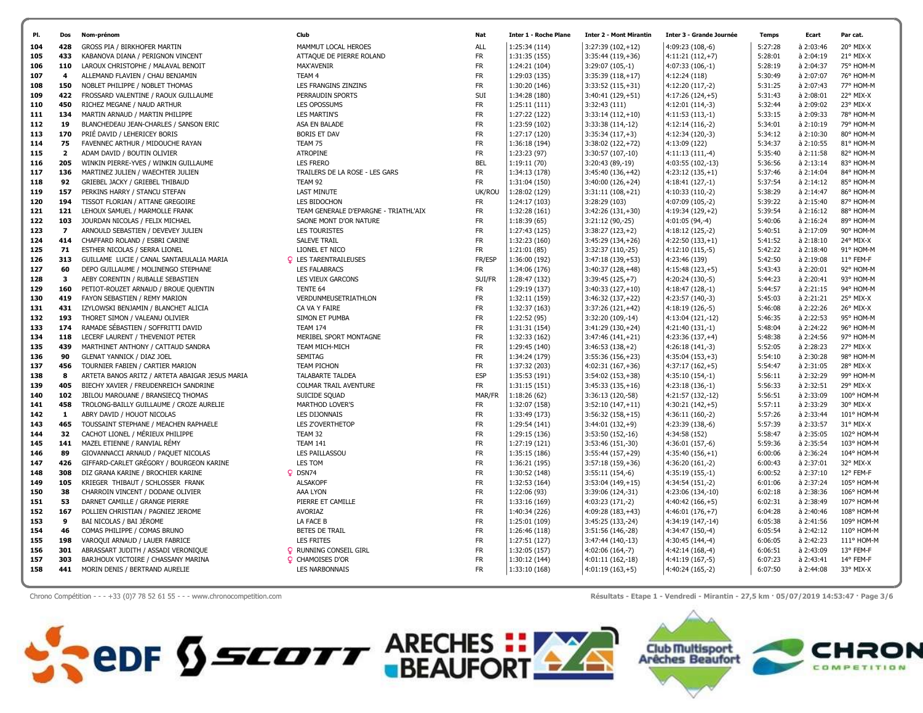| PI. | Dos                      | Nom-prénom                                      | Club                                  | Nat        | <b>Inter 1 - Roche Plane</b> | <b>Inter 2 - Mont Mirantin</b> | <b>Inter 3 - Grande Journée</b> | <b>Temps</b> | Ecart     | Par cat.         |
|-----|--------------------------|-------------------------------------------------|---------------------------------------|------------|------------------------------|--------------------------------|---------------------------------|--------------|-----------|------------------|
| 104 | 428                      | GROSS PIA / BIRKHOFER MARTIN                    | MAMMUT LOCAL HEROES                   | <b>ALL</b> | 1:25:34 (114)                | $3:27:39(102,+12)$             | 4:09:23 (108,-6)                | 5:27:28      | à 2:03:46 | 20° MIX-X        |
| 105 | 433                      | KABANOVA DIANA / PERIGNON VINCENT               | ATTAQUE DE PIERRE ROLAND              | <b>FR</b>  | 1:31:35 (155)                | $3:35:44(119,+36)$             | $4:11:21(112,+7)$               | 5:28:01      | à 2:04:19 | 21° MIX-X        |
| 106 | 110                      | LAROUX CHRISTOPHE / MALAVAL BENOIT              | MAX'AVENIR                            | FR.        | 1:24:21 (104)                | $3:29:07(105,-1)$              | $4:07:33(106,-1)$               | 5:28:19      | à 2:04:37 | 75° HOM-M        |
| 107 | 4                        | ALLEMAND FLAVIEN / CHAU BENJAMIN                | TEAM 4                                | <b>FR</b>  | 1:29:03 (135)                | $3:35:39(118,+17)$             | 4:12:24 (118)                   | 5:30:49      | à 2:07:07 | 76° HOM-M        |
| 108 | 150                      | NOBLET PHILIPPE / NOBLET THOMAS                 | LES FRANGINS ZINZINS                  | FR.        | 1:30:20 (146)                | $3:33:52(115,+31)$             | 4:12:20 (117,-2)                | 5:31:25      | à 2:07:43 | 77° HOM-M        |
| 109 | 422                      | FROSSARD VALENTINE / RAOUX GUILLAUME            | PERRAUDIN SPORTS                      | SUI        | 1:34:28 (180)                | $3:40:41(129,+51)$             | $4:17:26(124,+5)$               | 5:31:43      | à 2:08:01 | 22° MIX-X        |
| 110 | 450                      | RICHEZ MEGANE / NAUD ARTHUR                     | <b>LES OPOSSUMS</b>                   | <b>FR</b>  | 1:25:11(111)                 | 3:32:43 (111)                  | $4:12:01(114,-3)$               | 5:32:44      | à 2:09:02 | 23° MIX-X        |
| 111 | 134                      | MARTIN ARNAUD / MARTIN PHILIPPE                 | <b>LES MARTIN'S</b>                   | <b>FR</b>  | 1:27:22 (122)                | $3:33:14(112,+10)$             | $4:11:53(113,-1)$               | 5:33:15      | à 2:09:33 | 78° HOM-M        |
| 112 | 19                       | BLANCHEDEAU JEAN-CHARLES / SANSON ERIC          | ASA EN BALADE                         | <b>FR</b>  | 1:23:59 (102)                | 3:33:38 (114,-12)              | $4:12:14(116,-2)$               | 5:34:01      | à 2:10:19 | 79° HOM-M        |
| 113 | 170                      | PRIÉ DAVID / LEHERICEY BORIS                    | <b>BORIS ET DAV</b>                   | <b>FR</b>  | 1:27:17 (120)                | $3:35:34(117,+3)$              | 4:12:34 (120,-3)                | 5:34:12      | à 2:10:30 | 80° HOM-M        |
| 114 | 75                       | FAVENNEC ARTHUR / MIDOUCHE RAYAN                | TEAM 75                               | <b>FR</b>  | 1:36:18 (194)                | 3:38:02 (122,+72)              | 4:13:09 (122)                   | 5:34:37      | à 2:10:55 | 81° HOM-M        |
| 115 | $\overline{2}$           | ADAM DAVID / BOUTIN OLIVIER                     | <b>ATROPINE</b>                       | FR.        | 1:23:23 (97)                 | 3:30:57 (107,-10)              | $4:11:13(111,-4)$               | 5:35:40      | à 2:11:58 | 82° HOM-M        |
| 116 | 205                      | WINKIN PIERRE-YVES / WINKIN GUILLAUME           | <b>LES FRERO</b>                      | <b>BEL</b> | 1:19:11 (70)                 | 3:20:43 (89,-19)               | 4:03:55 (102,-13)               | 5:36:56      | à 2:13:14 | 83° HOM-M        |
| 117 | 136                      | MARTINEZ JULIEN / WAECHTER JULIEN               | TRAILERS DE LA ROSE - LES GARS        | FR.        | 1:34:13 (178)                | $3:45:40(136,+42)$             | $4:23:12(135,+1)$               | 5:37:46      | à 2:14:04 | 84° HOM-M        |
| 118 | 92                       | GRIEBEL JACKY / GRIEBEL THIBAUD                 | TEAM 92                               | FR.        | 1:31:04 (150)                | $3:40:00(126,+24)$             | $4:18:41(127,-1)$               | 5:37:54      | à 2:14:12 | 85° HOM-M        |
| 119 | 157                      | PERKINS HARRY / STANCU STEFAN                   | <b>LAST MINUTE</b>                    | UK/ROU     | 1:28:02 (129)                | $3:31:11(108,+21)$             | 4:10:33 (110,-2)                | 5:38:29      | à 2:14:47 | 86° HOM-M        |
| 120 | 194                      | TISSOT FLORIAN / ATTANE GREGOIRE                | LES BIDOCHON                          | FR.        | 1:24:17 (103)                | 3:28:29 (103)                  | 4:07:09 (105,-2)                | 5:39:22      | à 2:15:40 | 87° HOM-M        |
| 121 | 121                      | LEHOUX SAMUEL / MARMOLLE FRANK                  | TEAM GENERALE D'EPARGNE - TRIATHL'AIX | FR         | 1:32:28 (161)                | $3:42:26(131,+30)$             | $4:19:34(129,+2)$               | 5:39:54      | à 2:16:12 | 88° HOM-M        |
| 122 | 103                      | JOURDAN NICOLAS / FELIX MICHAEL                 | SAONE MONT D'OR NATURE                | FR.        | 1:18:39(65)                  | 3:21:12 (90,-25)               | $4:01:05(94,-4)$                | 5:40:06      | à 2:16:24 | 89° HOM-M        |
| 123 | $\overline{\phantom{a}}$ | ARNOULD SEBASTIEN / DEVEVEY JULIEN              | <b>LES TOURISTES</b>                  | <b>FR</b>  | 1:27:43 (125)                | $3:38:27(123,+2)$              | 4:18:12 (125,-2)                | 5:40:51      | à 2:17:09 | 90° HOM-M        |
| 124 | 414                      | CHAFFARD ROLAND / ESBRI CARINE                  | <b>SALEVE TRAIL</b>                   | FR.        | 1:32:23 (160)                | $3:45:29(134,+26)$             | $4:22:50(133,+1)$               | 5:41:52      | à 2:18:10 | 24° MIX-X        |
| 125 | 71                       | ESTHER NICOLAS / SERRA LIONEL                   | LIONEL ET NICO                        | FR.        | 1:21:01(85)                  | 3:32:37 (110,-25)              | $4:12:10(115,-5)$               | 5:42:22      | à 2:18:40 | 91° HOM-M        |
| 126 | 313                      | GUILLAME LUCIE / CANAL SANTAEULALIA MARIA       | <b>Q</b> LES TARENTRAILEUSES          | FR/ESP     | 1:36:00 (192)                | $3:47:18(139,+53)$             | 4:23:46 (139)                   | 5:42:50      | à 2:19:08 | 11° FEM-F        |
| 127 | 60                       | DEPO GUILLAUME / MOLINENGO STEPHANE             | <b>LES FALABRACS</b>                  | <b>FR</b>  | 1:34:06 (176)                | $3:40:37(128,+48)$             | $4:15:48(123,+5)$               | 5:43:43      | à 2:20:01 | 92° HOM-M        |
| 128 | 3                        | AEBY CORENTIN / RUBALLE SEBASTIEN               | LES VIEUX GARCONS                     | SUI/FR     | 1:28:47 (132)                | $3:39:45(125,+7)$              | 4:20:24 (130,-5)                | 5:44:23      | à 2:20:41 | 93° HOM-M        |
| 129 | 160                      | PETIOT-ROUZET ARNAUD / BROUE QUENTIN            | TENTE 64                              | <b>FR</b>  | 1:29:19 (137)                | $3:40:33(127,+10)$             | $4:18:47(128,-1)$               | 5:44:57      | à 2:21:15 | 94° HOM-M        |
| 130 | 419                      | FAYON SEBASTIEN / REMY MARION                   | VERDUNMEUSETRIATHLON                  | <b>FR</b>  | 1:32:11 (159)                | $3:46:32(137,+22)$             | 4:23:57 (140,-3)                | 5:45:03      | à 2:21:21 | 25° MIX-X        |
| 131 | 431                      | IZYLOWSKI BENJAMIN / BLANCHET ALICIA            | CA VA Y FAIRE                         | <b>FR</b>  | 1:32:37 (163)                | $3:37:26(121,+42)$             | 4:18:19 (126,-5)                | 5:46:08      | à 2:22:26 | $26^\circ$ MIX-X |
| 132 | 193                      | THORET SIMON / VALEANU OLIVIER                  | SIMON ET PUMBA                        | <b>FR</b>  | 1:22:52 (95)                 | 3:32:20 (109,-14)              | 4:13:04 (121,-12)               | 5:46:35      | à 2:22:53 | 95° HOM-M        |
| 133 | 174                      | RAMADE SÉBASTIEN / SOFFRITTI DAVID              | <b>TEAM 174</b>                       | <b>FR</b>  | 1:31:31 (154)                | $3:41:29(130,+24)$             | 4:21:40 (131,-1)                | 5:48:04      | à 2:24:22 | 96° HOM-M        |
| 134 | 118                      | LECERF LAURENT / THEVENIOT PETER                | MERIBEL SPORT MONTAGNE                | FR.        | 1:32:33 (162)                | $3:47:46(141,+21)$             | $4:23:36(137,+4)$               | 5:48:38      | à 2:24:56 | 97° HOM-M        |
| 135 | 439                      | MARTHINET ANTHONY / CATTAUD SANDRA              | TEAM MICH-MICH                        | FR.        | 1:29:45 (140)                | $3:46:53(138,+2)$              | 4:26:18 (141,-3)                | 5:52:05      | à 2:28:23 | 27° MIX-X        |
| 136 | 90                       | <b>GLENAT YANNICK / DIAZ JOEL</b>               | SEMITAG                               | <b>FR</b>  | 1:34:24 (179)                | $3:55:36(156,+23)$             | $4:35:04(153,+3)$               | 5:54:10      | à 2:30:28 | 98° HOM-M        |
| 137 | 456                      | TOURNIER FABIEN / CARTIER MARION                | <b>TEAM PICHON</b>                    | FR.        | 1:37:32 (203)                | 4:02:31 (167,+36)              | $4:37:17(162,+5)$               | 5:54:47      | à 2:31:05 | 28° MIX-X        |
| 138 | 8                        | ARTETA BANOS ARITZ / ARTETA ABAIGAR JESUS MARIA | <b>TALABARTE TALDEA</b>               | <b>ESP</b> | 1:35:53 (191)                | $3:54:02(153,+38)$             | $4:35:10(154,-1)$               | 5:56:11      | à 2:32:29 | 99° HOM-M        |
| 139 | 405                      | BIECHY XAVIER / FREUDENREICH SANDRINE           | COLMAR TRAIL AVENTURE                 | <b>FR</b>  | 1:31:15 (151)                | $3:45:33(135,+16)$             | $4:23:18(136,-1)$               | 5:56:33      | à 2:32:51 | 29° MIX-X        |
| 140 | 102                      | JBILOU MAROUANE / BRANSIECQ THOMAS              | SUICIDE SQUAD                         | MAR/FR     | 1:18:26(62)                  | 3:36:13 (120,-58)              | 4:21:57 (132,-12)               | 5:56:51      | à 2:33:09 | 100° HOM-M       |
| 141 | 458                      | TROLONG-BAILLY GUILLAUME / CROZE AURELIE        | MARTHOD LOVER'S                       | FR.        | 1:32:07 (158)                | $3:52:10(147,+11)$             | $4:30:21(142,+5)$               | 5:57:11      | à 2:33:29 | 30° MIX-X        |
| 142 | $\mathbf{1}$             | ABRY DAVID / HOUOT NICOLAS                      | <b>LES DIJONNAIS</b>                  | FR.        | 1:33:49 (173)                | $3:56:32(158,+15)$             | $4:36:11(160,-2)$               | 5:57:26      | à 2:33:44 | 101° HOM-M       |
| 143 | 465                      | TOUSSAINT STEPHANE / MEACHEN RAPHAELE           | LES Z'OVERTHETOP                      | FR.        | 1:29:54 (141)                | $3:44:01(132,+9)$              | 4:23:39 (138,-6)                | 5:57:39      | à 2:33:57 | 31° MIX-X        |
| 144 | 32                       | CACHOT LIONEL / MÉRIEUX PHILIPPE                | TEAM 32                               | <b>FR</b>  | 1:29:15 (136)                | 3:53:50 (152,-16)              | 4:34:58 (152)                   | 5:58:47      | à 2:35:05 | 102° HOM-M       |
| 145 | 141                      | MAZEL ETIENNE / RANVIAL RÉMY                    | <b>TEAM 141</b>                       | <b>FR</b>  | 1:27:19 (121)                | 3:53:46 (151,-30)              | 4:36:01 (157,-6)                | 5:59:36      | à 2:35:54 | 103° HOM-M       |
| 146 | 89                       | GIOVANNACCI ARNAUD / PAQUET NICOLAS             | LES PAILLASSOU                        | FR.        | 1:35:15 (186)                | $3:55:44(157,+29)$             | $4:35:40(156,+1)$               | 6:00:06      | à 2:36:24 | 104° HOM-M       |
| 147 | 426                      | GIFFARD-CARLET GRÉGORY / BOURGEON KARINE        | LES TOM                               | <b>FR</b>  | 1:36:21 (195)                | $3:57:18(159,+36)$             | $4:36:20(161,-2)$               | 6:00:43      | à 2:37:01 | 32° MIX-X        |
| 148 | 308                      | DIZ GRANA KARINE / BROCHIER KARINE              | $Q$ DSN74                             | <b>FR</b>  | 1:30:52 (148)                | $3:55:11(154,-6)$              | $4:35:19(155,-1)$               | 6:00:52      | à 2:37:10 | 12° FEM-F        |
| 149 | 105                      | KRIEGER THIBAUT / SCHLOSSER FRANK               | <b>ALSAKOPF</b>                       | <b>FR</b>  | 1:32:53 (164)                | $3:53:04(149,+15)$             | $4:34:54(151,-2)$               | 6:01:06      | à 2:37:24 | 105° HOM-M       |
| 150 | 38                       | CHARROIN VINCENT / DODANE OLIVIER               | AAA LYON                              | FR         | 1:22:06 (93)                 | 3:39:06 (124,-31)              | 4:23:06 (134,-10)               | 6:02:18      | à 2:38:36 | 106° HOM-M       |
| 151 | 53                       | DARNET CAMILLE / GRANGE PIERRE                  | PIERRE ET CAMILLE                     | <b>FR</b>  | 1:33:16 (169)                | 4:03:23 (171,-2)               | $4:40:42(166,+5)$               | 6:02:31      | à 2:38:49 | 107° HOM-M       |
| 152 | 167                      | POLLIEN CHRISTIAN / PAGNIEZ JEROME              | AVORIAZ                               | FR.        | 1:40:34 (226)                | $4:09:28(183,+43)$             | $4:46:01(176,+7)$               | 6:04:28      | à 2:40:46 | 108° HOM-M       |
| 153 | 9                        | BAI NICOLAS / BAI JÉROME                        | LA FACE B                             | FR.        | 1:25:01 (109)                | 3:45:25 (133,-24)              | 4:34:19 (147,-14)               | 6:05:38      | à 2:41:56 | 109° HOM-M       |
| 154 | 46                       | COMAS PHILIPPE / COMAS BRUNO                    | BETES DE TRAIL                        | FR.        | 1:26:46 (118)                | 3:51:56 (146,-28)              | 4:34:47 (150,-4)                | 6:05:54      | à 2:42:12 | 110° HOM-M       |
| 155 | 198                      | VAROQUI ARNAUD / LAUER FABRICE                  | <b>LES FRITES</b>                     | <b>FR</b>  | 1:27:51 (127)                | 3:47:44 (140,-13)              | 4:30:45 (144,-4)                | 6:06:05      | à 2:42:23 | 111° HOM-M       |
| 156 | 301                      | ABRASSART JUDITH / ASSADI VERONIQUE             | <b>Q</b> RUNNING CONSEIL GIRL         | FR.        | 1:32:05 (157)                | 4:02:06 (164,-7)               | 4:42:14 (168,-4)                | 6:06:51      | à 2:43:09 | 13° FEM-F        |
| 157 | 303                      | BARJHOUX VICTOIRE / CHASSANY MARINA             | <b>Q</b> CHAMOISES D'OR               | <b>FR</b>  | 1:30:12 (144)                | 4:01:11 (162,-18)              | 4:41:19 (167,-5)                | 6:07:23      | à 2:43:41 | 14° FEM-F        |
| 158 | 441                      | MORIN DENIS / BERTRAND AURELIE                  | <b>LES NARBONNAIS</b>                 | <b>FR</b>  | 1:33:10 (168)                | $4:01:19(163,+5)$              | 4:40:24 (165,-2)                | 6:07:50      | à 2:44:08 | 33° MIX-X        |

Chrono Compétition - - - +33 (0)7 78 52 61 55 - - - www.chronocompetition.com **American Computition.com** and the state of the state of the state of the state of the state of the state of the state of the state of the state

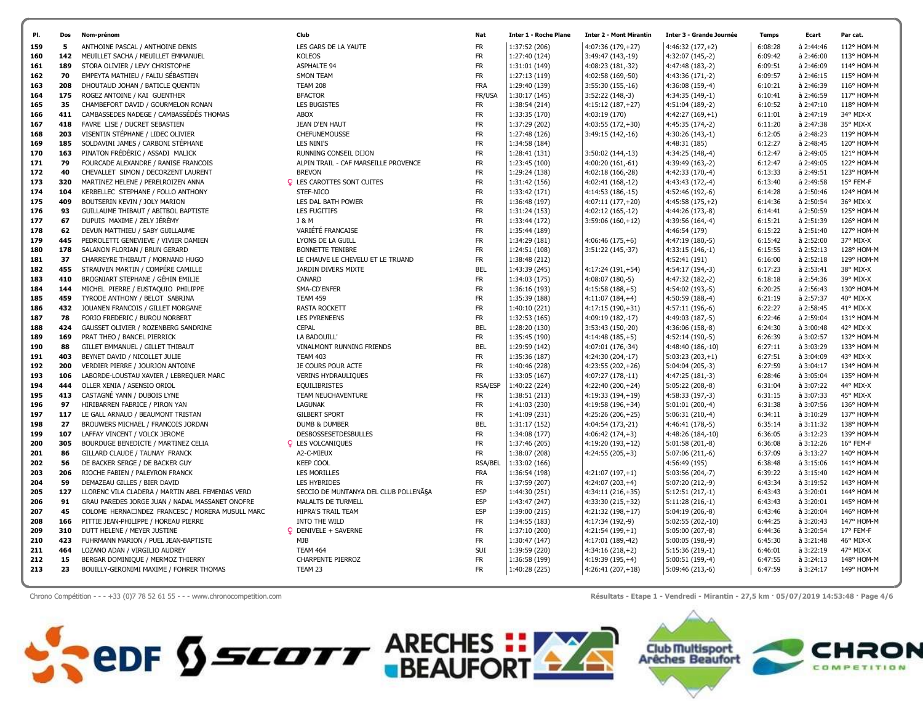| PI         | Dos        | Nom-prénom                                                            | Club                                  | Nat                    | <b>Inter 1 - Roche Plane</b>   | <b>Inter 2 - Mont Mirantin</b>         | Inter 3 - Grande Journée              | <b>Temps</b>       | Ecart                  | Par cat.               |
|------------|------------|-----------------------------------------------------------------------|---------------------------------------|------------------------|--------------------------------|----------------------------------------|---------------------------------------|--------------------|------------------------|------------------------|
| 159        | 5          | ANTHOINE PASCAL / ANTHOINE DENIS                                      | LES GARS DE LA YAUTE                  | <b>FR</b>              | 1:37:52 (206)                  | 4:07:36 (179,+27)                      | $4:46:32(177,+2)$                     | 6:08:28            | à 2:44:46              | 112° HOM-M             |
| 160        | 142        | MEUILLET SACHA / MEUILLET EMMANUEL                                    | <b>KOLEOS</b>                         | FR.                    | 1:27:40 (124)                  | 3:49:47 (143,-19)                      | 4:32:07 (145,-2)                      | 6:09:42            | à 2:46:00              | 113° HOM-M             |
| 161        | 189        | STORA OLIVIER / LEVY CHRISTOPHE                                       | <b>ASPHALTE 94</b>                    | FR.                    | 1:31:01 (149)                  | 4:08:23 (181,-32)                      | 4:47:48 (183,-2)                      | 6:09:51            | à 2:46:09              | 114° HOM-M             |
| 162        | 70         | EMPEYTA MATHIEU / FALIU SÉBASTIEN                                     | <b>SMON TEAM</b>                      | <b>FR</b>              | 1:27:13 (119)                  | 4:02:58 (169,-50)                      | 4:43:36 (171,-2)                      | 6:09:57            | à 2:46:15              | 115° HOM-M             |
| 163        | 208        | DHOUTAUD JOHAN / BATICLE QUENTIN                                      | <b>TEAM 208</b>                       | <b>FRA</b>             | 1:29:40 (139)                  | 3:55:30 (155,-16)                      | 4:36:08 (159,-4)                      | 6:10:21            | à 2:46:39              | 116° HOM-M             |
| 164        | 175        | ROGEZ ANTOINE / KAI GUENTHER                                          | <b>BFACTOR</b>                        | FR/USA                 | 1:30:17 (145)                  | $3:52:22(148,-3)$                      | 4:34:35 (149,-1)                      | 6:10:41            | à 2:46:59              | 117° HOM-M             |
| 165        | 35         | CHAMBEFORT DAVID / GOURMELON RONAN                                    | <b>LES BUGISTES</b>                   | <b>FR</b>              | 1:38:54 (214)                  | $4:15:12(187,+27)$                     | 4:51:04 (189,-2)                      | 6:10:52            | à 2:47:10              | 118° HOM-M             |
| 166        | 411        | CAMBASSEDES NADEGE / CAMBASSÉDÉS THOMAS                               | ABOX                                  | <b>FR</b>              | 1:33:35 (170)                  | 4:03:19 (170)                          | $4:42:27(169,+1)$                     | 6:11:01            | à 2:47:19              | 34° MIX-X              |
| 167        | 418        | FAVRE LISE / DUCRET SEBASTIEN                                         | JEAN D'EN HAUT                        | <b>FR</b>              | 1:37:29 (202)                  | $4:03:55(172,+30)$                     | 4:45:35 (174,-2)                      | 6:11:20            | à 2:47:38              | 35° MIX-X              |
| 168        | 203        | VISENTIN STÉPHANE / LIDEC OLIVIER                                     | <b>CHEFUNEMOUSSE</b>                  | <b>FR</b>              | 1:27:48 (126)                  | 3:49:15 (142,-16)                      | 4:30:26 (143,-1)                      | 6:12:05            | à 2:48:23              | 119° HOM-M             |
| 169        | 185        | SOLDAVINI JAMES / CARBONI STÉPHANE                                    | LES NINI'S                            | <b>FR</b>              | 1:34:58 (184)                  |                                        | 4:48:31 (185)                         | 6:12:27            | à 2:48:45              | 120° HOM-M             |
| 170        | 163        | PINATON FRÉDÉRIC / ASSADI MALICK                                      | RUNNING CONSEIL DIJON                 | FR.                    | 1:28:41 (131)                  | 3:50:02 (144,-13)                      | 4:34:25 (148,-4)                      | 6:12:47            | à 2:49:05              | 121° HOM-M             |
| 171        | 79         | FOURCADE ALEXANDRE / RANISE FRANCOIS                                  | ALPIN TRAIL - CAF MARSEILLE PROVENCE  | <b>FR</b>              | 1:23:45 (100)                  | 4:00:20 (161,-61)                      | 4:39:49 (163,-2)                      | 6:12:47            | à 2:49:05              | 122° HOM-M             |
| 172        | 40         | CHEVALLET SIMON / DECORZENT LAURENT                                   | <b>BREVON</b>                         | <b>FR</b>              | 1:29:24 (138)                  | 4:02:18 (166,-28)                      | 4:42:33 (170,-4)                      | 6:13:33            | à 2:49:51              | 123° HOM-M             |
| 173        | 320        | MARTINEZ HELENE / PERELROIZEN ANNA                                    | <b>Q</b> LES CAROTTES SONT CUITES     | <b>FR</b>              | 1:31:42 (156)                  | 4:02:41 (168,-12)                      | 4:43:43 (172,-4)                      | 6:13:40            | à 2:49:58              | 15° FEM-F              |
| 174        | 104        | KERBELLEC STEPHANE / FOLLO ANTHONY                                    | STEF-NICO                             | <b>FR</b>              | 1:33:42 (171)                  | 4:14:53 (186,-15)                      | 4:52:46 (192,-6)                      | 6:14:28            | à 2:50:46              | 124° HOM-M             |
| 175        | 409        | BOUTSERIN KEVIN / JOLY MARION                                         | LES DAL BATH POWER                    | <b>FR</b>              | 1:36:48 (197)                  | $4:07:11(177,+20)$                     | $4:45:58(175,+2)$                     | 6:14:36            | à 2:50:54              | 36° MIX-X              |
| 176        | 93         | GUILLAUME THIBAUT / ABITBOL BAPTISTE                                  | LES FUGITIFS                          | <b>FR</b>              | 1:31:24 (153)                  | 4:02:12 (165,-12)                      | 4:44:26 (173,-8)                      | 6:14:41            | à 2:50:59              | 125° HOM-M             |
| 177        | 67         | DUPUIS MAXIME / ZELY JÉRÉMY                                           | J & M                                 | <b>FR</b>              | 1:33:44 (172)                  | $3:59:06(160,+12)$                     | 4:39:56 (164,-4)                      | 6:15:21            | à 2:51:39              | 126° HOM-M             |
| 178        | 62         | DEVUN MATTHIEU / SABY GUILLAUME                                       | VARIÉTÉ FRANCAISE                     | <b>FR</b>              | 1:35:44 (189)                  |                                        | 4:46:54 (179)                         | 6:15:22            | à 2:51:40              | 127° HOM-M             |
| 179        | 445        | PEDROLETTI GENEVIEVE / VIVIER DAMIEN                                  | LYONS DE LA GUILL                     | <b>FR</b>              | 1:34:29 (181)                  | $4:06:46(175,+6)$                      | 4:47:19 (180,-5)                      | 6:15:42            | à 2:52:00              | 37° MIX-X              |
| 180        | 178        | SALANON FLORIAN / BRUN GERARD                                         | <b>BONNETTE TENIBRE</b>               | <b>FR</b>              | 1:24:51 (108)                  | 3:51:22 (145,-37)                      | $4:33:15(146,-1)$                     | 6:15:55            | à 2:52:13              | 128° HOM-M             |
| 181        | 37         | CHARREYRE THIBAUT / MORNAND HUGO                                      | LE CHAUVE LE CHEVELU ET LE TRUAND     | <b>FR</b>              | 1:38:48 (212)                  |                                        | 4:52:41 (191)                         | 6:16:00            | à 2:52:18              | 129° HOM-M             |
| 182        | 455        | STRAUVEN MARTIN / COMPÉRE CAMILLE                                     | JARDIN DIVERS MIXTE                   | <b>BEL</b>             | 1:43:39 (245)                  | $4:17:24(191,+54)$                     | 4:54:17 (194,-3)                      | 6:17:23            | à 2:53:41              | 38° MIX-X              |
| 183        | 410        | BROGNIART STEPHANE / GÉHIN EMILIE                                     | CANARD                                | <b>FR</b>              | 1:34:03 (175)                  | 4:08:07 (180,-5)                       | 4:47:32 (182,-2)                      | 6:18:18            | à 2:54:36              | 39° MIX-X              |
| 184        | 144        | MICHEL PIERRE / EUSTAQUIO PHILIPPE                                    | SMA-CD'ENFER                          | <b>FR</b>              | 1:36:16 (193)                  | $4:15:58(188,+5)$                      | 4:54:02 (193,-5)                      | 6:20:25            | à 2:56:43              | 130° HOM-M             |
| 185        | 459        | TYRODE ANTHONY / BELOT SABRINA                                        | <b>TEAM 459</b>                       | FR.                    | 1:35:39 (188)                  | $4:11:07(184,+4)$                      | 4:50:59 (188,-4)                      | 6:21:19            | à 2:57:37              | 40° MIX-X              |
| 186        | 432        | JOUANEN FRANCOIS / GILLET MORGANE                                     | <b>RASTA ROCKETT</b>                  | <b>FR</b>              | 1:40:10 (221)                  | $4:17:15(190,+31)$                     | 4:57:11 (196,-6)                      | 6:22:27            | à 2:58:45              | 41° MIX-X              |
| 187        | 78         | FORIO FREDERIC / BUROU NORBERT                                        | <b>LES PYRENEENS</b>                  | <b>FR</b>              | 1:32:53 (165)                  | 4:09:19 (182,-17)                      | 4:49:03 (187,-5)                      | 6:22:46            | à 2:59:04              | 131° HOM-M             |
| 188        | 424        | GAUSSET OLIVIER / ROZENBERG SANDRINE                                  | <b>CEPAL</b>                          | <b>BEL</b>             | 1:28:20 (130)                  | 3:53:43 (150,-20)                      | 4:36:06 (158,-8)                      | 6:24:30            | à 3:00:48              | 42° MIX-X              |
| 189        | 169        | PRAT THEO / BANCEL PIERRICK                                           | LA BADOUILL'                          | FR.                    | 1:35:45 (190)                  | $4:14:48(185,+5)$                      | 4:52:14 (190,-5)                      | 6:26:39            | à 3:02:57              | 132° HOM-M             |
| 190        | 88         | GILLET EMMANUEL / GILLET THIBAUT                                      | VINALMONT RUNNING FRIENDS             | <b>BEL</b>             | 1:29:59 (142)                  | 4:07:01 (176,-34)                      | 4:48:40 (186,-10)                     | 6:27:11            | à 3:03:29              | 133° HOM-M             |
| 191        | 403        | BEYNET DAVID / NICOLLET JULIE                                         | <b>TEAM 403</b>                       | <b>FR</b>              | 1:35:36 (187)                  | 4:24:30 (204,-17)                      | $5:03:23(203,+1)$                     | 6:27:51            | à 3:04:09              | 43° MIX-X              |
| 192        | 200        | VERDIER PIERRE / JOURJON ANTOINE                                      | JE COURS POUR ACTE                    | <b>FR</b>              | 1:40:46 (228)                  | $4:23:55(202,+26)$                     | 5:04:04 (205,-3)                      | 6:27:59            | $a$ 3:04:17            | 134° HOM-M             |
| 193        | 106        | LABORDE-LOUSTAU XAVIER / LEBREQUER MARC                               | VERINS HYDRAULIQUES                   | FR.                    | 1:33:05 (167)                  | 4:07:27 (178,-11)                      | 4:47:25 (181,-3)                      | 6:28:46            | à 3:05:04              | 135° HOM-M             |
| 194        | 444        | OLLER XENIA / ASENSIO ORIOL                                           | <b>EQUILIBRISTES</b>                  | <b>RSA/ESP</b>         | 1:40:22 (224)                  | 4:22:40 (200,+24)                      | 5:05:22 (208,-8)                      | 6:31:04            | à 3:07:22              | 44° MIX-X              |
| 195        | 413        | CASTAGNÉ YANN / DUBOIS LYNE                                           | TEAM NEUCHAVENTURE                    | <b>FR</b>              | 1:38:51 (213)                  | 4:19:33 (194,+19)                      | 4:58:33 (197,-3)                      | 6:31:15            | à 3:07:33              | 45° MIX-X              |
| 196        | 97         | HIRIBARREN FABRICE / PIRON YAN                                        | <b>LAGUNAK</b>                        | FR.                    | 1:41:03 (230)                  | 4:19:58 (196,+34)                      | 5:01:01 (200,-4)                      | 6:31:38            | à 3:07:56              | 136° HOM-M             |
| 197        | 117        | LE GALL ARNAUD / BEAUMONT TRISTAN                                     | <b>GILBERT SPORT</b>                  | <b>FR</b>              | 1:41:09 (231)                  | $4:25:26(206,+25)$                     | $5:06:31(210,-4)$                     | 6:34:11            | à 3:10:29              | 137° HOM-M             |
| 198        | 27         | BROUWERS MICHAEL / FRANCOIS JORDAN                                    | DUMB & DUMBER                         | <b>BEL</b>             | 1:31:17 (152)                  | 4:04:54 (173,-21)                      | 4:46:41 (178,-5)                      | 6:35:14            | à 3:11:32              | 138° HOM-M             |
| 199        | 107        | LAFFAY VINCENT / VOLCK JEROME                                         | <b>DESBOSSESETDESBULLES</b>           | <b>FR</b>              | 1:34:08 (177)                  | $4:06:42(174,+3)$                      | 4:48:26 (184,-10)                     | 6:36:05            | à 3:12:23              | 139° HOM-M             |
| 200        | 305        | BOURDUGE BENEDICTE / MARTINEZ CELIA                                   | <b>Q</b> LES VOLCANIQUES              | <b>FR</b>              | 1:37:46 (205)                  | 4:19:20 (193,+12)                      | 5:01:58 (201,-8)                      | 6:36:08            | à 3:12:26              | 16° FEM-F              |
| 201        | 86         | GILLARD CLAUDE / TAUNAY FRANCK                                        | A2-C-MIEUX                            | <b>FR</b>              | 1:38:07 (208)                  | $4:24:55(205,+3)$                      | 5:07:06 (211,-6)                      | 6:37:09            | à 3:13:27              | 140° HOM-M             |
| 202        | 56         | DE BACKER SERGE / DE BACKER GUY                                       | <b>KEEP COOL</b>                      | <b>RSA/BEL</b>         | 1:33:02 (166)                  |                                        | 4:56:49 (195)                         | 6:38:48            | à 3:15:06              | 141° HOM-M             |
| 203        | 206        | RIOCHE FABIEN / PALEYRON FRANCK                                       | <b>LES MORILLES</b>                   | <b>FRA</b>             | 1:36:54 (198)                  | 4:21:07 (197,+1)                       | 5:03:56 (204,-7)                      | 6:39:22            | à 3:15:40              | 142° HOM-M             |
| 204        | 59         | DEMAZEAU GILLES / BIER DAVID                                          | <b>LES HYBRIDES</b>                   | <b>FR</b>              | 1:37:59 (207)                  | $4:24:07(203,+4)$                      | 5:07:20 (212,-9)                      | 6:43:34            | à 3:19:52              | 143° HOM-M             |
| 205        | 127        | LLORENC VILA CLADERA / MARTIN ABEL FEMENIAS VERD                      | SECCIO DE MUNTANYA DEL CLUB POLLENÃSA | <b>ESP</b>             | 1:44:30 (251)                  | $4:34:11(216,+35)$                     | 5:12:51 (217,-1)                      | 6:43:43            | à 3:20:01              | 144° HOM-M             |
| 206        | 91         | GRAU PAREDES JORGE JUAN / NADAL MASSANET ONOFRE                       | MALALTS DE TURMELL                    | <b>ESP</b>             | 1:43:47 (247)                  | 4:33:30 (215,+32)                      | $5:11:28(216,-1)$                     | 6:43:43            | à 3:20:01              | 145° HOM-M             |
| 207        | 45         | COLOME HERNA□NDEZ FRANCESC / MORERA MUSULL MARC                       | HIPRA'S TRAIL TEAM                    | <b>ESP</b>             | 1:39:00 (215)                  | $4:21:32(198,+17)$                     | 5:04:19 (206,-8)                      | 6:43:46            | à 3:20:04              | 146° HOM-M             |
| 208        | 166<br>310 | PITTIE JEAN-PHILIPPE / HOREAU PIERRE                                  | INTO THE WILD                         | <b>FR</b><br><b>FR</b> | 1:34:55 (183)                  | 4:17:34 (192,-9)                       | 5:02:55 (202,-10)                     | 6:44:25            | à 3:20:43              | 147° HOM-M             |
| 209        | 423        | DUTT HELENE / MEYER JUSTINE                                           | P DENIVELE + SAVERNE<br><b>MJB</b>    | <b>FR</b>              | 1:37:10 (200)                  | $4:21:54(199,+1)$                      | 5:05:00 (207,-8)                      | 6:44:36<br>6:45:30 | à 3:20:54<br>à 3:21:48 | 17° FEM-F<br>46° MIX-X |
| 210<br>211 | 464        | FUHRMANN MARION / PUEL JEAN-BAPTISTE<br>LOZANO ADAN / VIRGILIO AUDREY | TEAM 464                              | SUI                    | 1:30:47 (147)<br>1:39:59 (220) | 4:17:01 (189,-42)<br>$4:34:16(218,+2)$ | 5:00:05 (198,-9)<br>$5:15:36(219,-1)$ | 6:46:01            | à 3:22:19              | 47° MIX-X              |
| 212        | 15         | BERGAR DOMINIQUE / MERMOZ THIERRY                                     | <b>CHARPENTE PIERROZ</b>              | <b>FR</b>              | 1:36:58 (199)                  | $4:19:39(195,+4)$                      | 5:00:51 (199,-4)                      | 6:47:55            | à 3:24:13              | 148° HOM-M             |
| 213        | 23         | BOUILLY-GERONIMI MAXIME / FOHRER THOMAS                               | TEAM 23                               | <b>FR</b>              | 1:40:28 (225)                  | $4:26:41(207,+18)$                     | 5:09:46 (213,-6)                      | 6:47:59            | à 3:24:17              | 149° HOM-M             |
|            |            |                                                                       |                                       |                        |                                |                                        |                                       |                    |                        |                        |

Chrono Compétition - - - +33 (0)7 78 52 61 55 - - - www.chronocompetition.com **And Frontin - 27,5 km · 05/07/2019 14:53:48 · Page 4/6** 

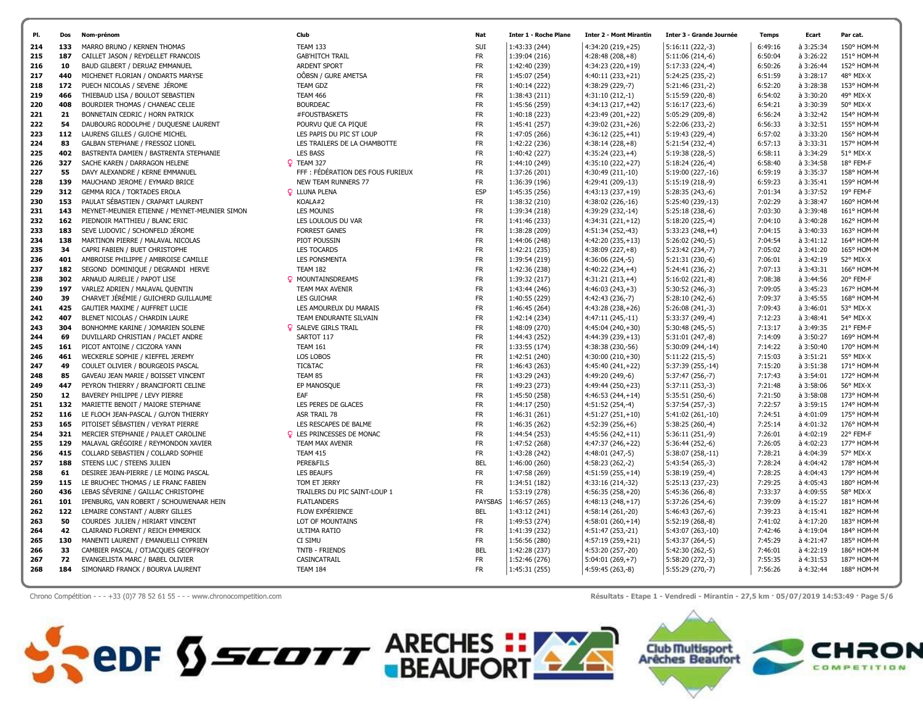|     | Dos | Nom-prénom                                    | Club                              | Nat        | <b>Inter 1 - Roche Plane</b> | <b>Inter 2 - Mont Mirantin</b> | <b>Inter 3 - Grande Journée</b> | <b>Temps</b> | Ecart       | Par cat.   |
|-----|-----|-----------------------------------------------|-----------------------------------|------------|------------------------------|--------------------------------|---------------------------------|--------------|-------------|------------|
| 214 | 133 | MARRO BRUNO / KERNEN THOMAS                   | <b>TEAM 133</b>                   | SUI        | 1:43:33 (244)                | 4:34:20 (219,+25)              | $5:16:11(222,-3)$               | 6:49:16      | à 3:25:34   | 150° HOM-M |
| 215 | 187 | CAILLET JASON / REYDELLET FRANCOIS            | <b>GAB'HITCH TRAIL</b>            | <b>FR</b>  | 1:39:04 (216)                | $4:28:48(208,+8)$              | $5:11:06(214,-6)$               | 6:50:04      | à 3:26:22   | 151° HOM-M |
| 216 | 10  | BAUD GILBERT / DERUAZ EMMANUEL                | <b>ARDENT SPORT</b>               | <b>FR</b>  | 1:42:40 (239)                | $4:34:23(220,+19)$             | $5:17:33(224,-4)$               | 6:50:26      | à 3:26:44   | 152° HOM-M |
| 217 | 440 | MICHENET FLORIAN / ONDARTS MARYSE             | OÔBSN / GURE AMETSA               | <b>FR</b>  | 1:45:07 (254)                | 4:40:11 (233,+21)              | 5:24:25 (235,-2)                | 6:51:59      | à 3:28:17   | 48° MIX-X  |
| 218 | 172 | PUECH NICOLAS / SEVENE JÉROME                 | <b>TEAM GDZ</b>                   | <b>FR</b>  | 1:40:14 (222)                | 4:38:29 (229,-7)               | 5:21:46 (231,-2)                | 6:52:20      | à 3:28:38   | 153° HOM-M |
| 219 | 466 | THIEBAUD LISA / BOULOT SEBASTIEN              | <b>TEAM 466</b>                   | <b>FR</b>  | 1:38:43 (211)                | $4:31:10(212,-1)$              | 5:15:59 (220,-8)                | 6:54:02      | à 3:30:20   | 49° MIX-X  |
| 220 | 408 | BOURDIER THOMAS / CHANEAC CELIE               | <b>BOURDEAC</b>                   | <b>FR</b>  | 1:45:56 (259)                | 4:34:13 (217,+42)              | $5:16:17(223,-6)$               | 6:54:21      | à 3:30:39   | 50° MIX-X  |
| 221 | 21  | BONNETAIN CEDRIC / HORN PATRICK               | #FOUSTBASKETS                     | <b>FR</b>  | 1:40:18 (223)                | $4:23:49(201,+22)$             | 5:05:29 (209,-8)                | 6:56:24      | à 3:32:42   | 154° HOM-M |
| 222 | 54  | DAUBOURG RODOLPHE / DUQUESNE LAURENT          | POURVU QUE CA PIQUE               | <b>FR</b>  | 1:45:41 (257)                | $4:39:02(231,+26)$             | 5:22:06 (233,-2)                | 6:56:33      | à 3:32:51   | 155° HOM-M |
| 223 | 112 | LAURENS GILLES / GUICHE MICHEL                | LES PAPIS DU PIC ST LOUP          | <b>FR</b>  | 1:47:05 (266)                | $4:36:12(225,+41)$             | 5:19:43 (229,-4)                | 6:57:02      | à 3:33:20   | 156° HOM-M |
| 224 | 83  | GALBAN STEPHANE / FRESSOZ LIONEL              | LES TRAILERS DE LA CHAMBOTTE      | <b>FR</b>  | 1:42:22 (236)                | $4:38:14(228,+8)$              | 5:21:54 (232,-4)                | 6:57:13      | à 3:33:31   | 157° HOM-M |
| 225 | 402 | BASTRENTA DAMIEN / BASTRENTA STEPHANIE        | <b>LES BASS</b>                   | <b>FR</b>  | 1:40:42 (227)                | $4:35:24(223,+4)$              | 5:19:38 (228,-5)                | 6:58:11      | à 3:34:29   | 51° MIX-X  |
| 226 | 327 | SACHE KAREN / DARRAGON HELENE                 | P TEAM 327                        | <b>FR</b>  | 1:44:10 (249)                | $4:35:10(222,+27)$             | $5:18:24(226,-4)$               | 6:58:40      | à 3:34:58   | 18° FEM-F  |
| 227 | 55  | DAVY ALEXANDRE / KERNE EMMANUEL               | FFF : FÉDÉRATION DES FOUS FURIEUX | <b>FR</b>  | 1:37:26 (201)                | 4:30:49 (211,-10)              | 5:19:00 (227,-16)               | 6:59:19      | à 3:35:37   | 158° HOM-M |
| 228 | 139 | MAUCHAND JEROME / EYMARD BRICE                | <b>NEW TEAM RUNNERS 77</b>        | <b>FR</b>  | 1:36:39 (196)                | 4:29:41 (209,-13)              | 5:15:19 (218,-9)                | 6:59:23      | à 3:35:41   | 159° HOM-M |
| 229 | 312 | GEMMA RICA / TORTADES EROLA                   | <b>Q</b> LLUNA PLENA              | <b>ESP</b> | 1:45:35 (256)                | $4:43:13(237,+19)$             | $5:28:35(243,-6)$               | 7:01:34      | à 3:37:52   | 19° FEM-F  |
| 230 | 153 | PAULAT SÉBASTIEN / CRAPART LAURENT            | KOALA#2                           | <b>FR</b>  | 1:38:32 (210)                | 4:38:02 (226,-16)              | 5:25:40 (239,-13)               | 7:02:29      | à 3:38:47   | 160° HOM-M |
| 231 | 143 | MEYNET-MEUNIER ETIENNE / MEYNET-MEUNIER SIMON | <b>LES MOUNIS</b>                 | <b>FR</b>  | 1:39:34 (218)                | 4:39:29 (232,-14)              | 5:25:18 (238,-6)                | 7:03:30      | $a$ 3:39:48 | 161° HOM-M |
| 232 | 162 | PIEDNOIR MATTHIEU / BLANC ERIC                | LES LOULOUS DU VAR                | <b>FR</b>  | 1:41:46 (233)                | 4:34:31 (221,+12)              | 5:18:20 (225,-4)                | 7:04:10      | à 3:40:28   | 162° HOM-M |
| 233 | 183 | SEVE LUDOVIC / SCHONFELD JÉROME               | <b>FORREST GANES</b>              | <b>FR</b>  | 1:38:28 (209)                | 4:51:34 (252,-43)              | $5:33:23(248,+4)$               | 7:04:15      | à 3:40:33   | 163° HOM-M |
| 234 | 138 | MARTINON PIERRE / MALAVAL NICOLAS             | PIOT POUSSIN                      | FR         | 1:44:06 (248)                | $4:42:20(235,+13)$             | 5:26:02 (240,-5)                | 7:04:54      | à 3:41:12   | 164° HOM-M |
| 235 | 34  | CAPRI FABIEN / BUET CHRISTOPHE                | <b>LES TOCARDS</b>                | <b>FR</b>  | 1:42:21 (235)                | $4:38:09(227,+8)$              | 5:23:42 (234,-7)                | 7:05:02      | à 3:41:20   | 165° HOM-M |
| 236 | 401 | AMBROISE PHILIPPE / AMBROISE CAMILLE          | <b>LES PONSMENTA</b>              | <b>FR</b>  | 1:39:54 (219)                | 4:36:06 (224,-5)               | 5:21:31 (230,-6)                | 7:06:01      | à 3:42:19   | 52° MIX-X  |
| 237 | 182 | SEGOND DOMINIQUE / DEGRANDI HERVE             | <b>TEAM 182</b>                   | <b>FR</b>  | 1:42:36 (238)                | $4:40:22(234,+4)$              | 5:24:41 (236,-2)                | 7:07:13      | à 3:43:31   | 166° HOM-M |
| 238 | 302 | ARNAUD AURELIE / PAPOT LISE                   | <b>Q</b> MOUNTAINSDREAMS          | <b>FR</b>  | 1:39:32 (217)                | $4:31:21(213,+4)$              | $5:16:02(221,-8)$               | 7:08:38      | à 3:44:56   | 20° FEM-F  |
| 239 | 197 | VARLEZ ADRIEN / MALAVAL QUENTIN               | TEAM MAX AVENIR                   | <b>FR</b>  | 1:43:44 (246)                | $4:46:03(243,+3)$              | 5:30:52 (246,-3)                | 7:09:05      | à 3:45:23   | 167° HOM-M |
| 240 | 39  | CHARVET JÉRÉMIE / GUICHERD GUILLAUME          | LES GUICHAR                       | <b>FR</b>  | 1:40:55 (229)                | 4:42:43 (236,-7)               | 5:28:10 (242,-6)                | 7:09:37      | à 3:45:55   | 168° HOM-M |
| 241 | 425 | GAUTIER MAXIME / AUFFRET LUCIE                | LES AMOUREUX DU MARAIS            | <b>FR</b>  | 1:46:45 (264)                | $4:43:28(238,+26)$             | $5:26:08(241,-3)$               | 7:09:43      | à 3:46:01   | 53° MIX-X  |
| 242 | 407 | BLENET NICOLAS / CHARDIN LAURE                | TEAM ENDURANTE SILVAIN            | <b>FR</b>  | 1:42:14 (234)                | 4:47:11 (245,-11)              | 5:33:37 (249,-4)                | 7:12:23      | à 3:48:41   | 54° MIX-X  |
| 243 | 304 | BONHOMME KARINE / JOMARIEN SOLENE             | <b>Q</b> SALEVE GIRLS TRAIL       | <b>FR</b>  | 1:48:09 (270)                | $4:45:04(240,+30)$             | 5:30:48 (245,-5)                | 7:13:17      | à 3:49:35   | 21° FEM-F  |
| 244 | 69  | DUVILLARD CHRISTIAN / PACLET ANDRE            | SARTOT 117                        | <b>FR</b>  | 1:44:43 (252)                | 4:44:39 (239,+13)              | 5:31:01 (247,-8)                | 7:14:09      | à 3:50:27   | 169° HOM-M |
| 245 | 161 | PICOT ANTOINE / CICZORA YANN                  | <b>TEAM 161</b>                   | <b>FR</b>  | 1:33:55 (174)                | 4:38:38 (230,-56)              | 5:30:09 (244,-14)               | 7:14:22      | à 3:50:40   | 170° HOM-M |
| 246 | 461 | WECKERLE SOPHIE / KIEFFEL JEREMY              | LOS LOBOS                         | <b>FR</b>  | 1:42:51 (240)                | $4:30:00(210,+30)$             | $5:11:22(215,-5)$               | 7:15:03      | à 3:51:21   | 55° MIX-X  |
| 247 | 49  | COULET OLIVIER / BOURGEOIS PASCAL             | TIC&TAC                           | <b>FR</b>  | 1:46:43 (263)                | 4:45:40 (241,+22)              | 5:37:39 (255,-14)               | 7:15:20      | à 3:51:38   | 171° HOM-M |
| 248 | 85  | GAVEAU JEAN MARIE / BOISSET VINCENT           | TEAM 85                           | <b>FR</b>  | 1:43:29 (243)                | 4:49:20 (249,-6)               | 5:37:47 (256,-7)                | 7:17:43      | à 3:54:01   | 172° HOM-M |
| 249 | 447 | PEYRON THIERRY / BRANCIFORTI CELINE           | EP MANOSQUE                       | <b>FR</b>  | 1:49:23 (273)                | $4:49:44(250,+23)$             | 5:37:11 (253,-3)                | 7:21:48      | à 3:58:06   | 56° MIX-X  |
| 250 | 12  | BAVEREY PHILIPPE / LEVY PIERRE                | EAF                               | <b>FR</b>  | 1:45:50 (258)                | $4:46:53(244,+14)$             | 5:35:51 (250,-6)                | 7:21:50      | à 3:58:08   | 173° HOM-M |
| 251 | 132 | MARIETTE BENOIT / MAIORE STEPHANE             | LES PERES DE GLACES               | <b>FR</b>  | 1:44:17 (250)                | $4:51:52(254,-4)$              | 5:37:54 (257,-3)                | 7:22:57      | à 3:59:15   | 174° HOM-M |
| 252 | 116 | LE FLOCH JEAN-PASCAL / GUYON THIERRY          | <b>ASR TRAIL 78</b>               | <b>FR</b>  | 1:46:31 (261)                | $4:51:27(251,+10)$             | 5:41:02 (261,-10)               | 7:24:51      | à 4:01:09   | 175° HOM-M |
| 253 | 165 | PITOISET SÉBASTIEN / VEYRAT PIERRE            | LES RESCAPES DE BALME             | <b>FR</b>  | 1:46:35 (262)                | $4:52:39(256,+6)$              | $5:38:25(260,-4)$               | 7:25:14      | à 4:01:32   | 176° HOM-M |
| 254 | 321 | MERCIER STEPHANIE / PAULET CAROLINE           | <b>Q</b> LES PRINCESSES DE MONAC  | <b>FR</b>  | 1:44:54 (253)                | $4:45:56(242,+11)$             | $5:36:11(251,-9)$               | 7:26:01      | à 4:02:19   | 22° FEM-F  |
| 255 | 129 | MALAVAL GRÉGOIRE / REYMONDON XAVIER           | <b>TEAM MAX AVENIR</b>            | <b>FR</b>  | 1:47:52 (268)                | 4:47:37 (246,+22)              | 5:36:44 (252,-6)                | 7:26:05      | à 4:02:23   | 177° HOM-M |
| 256 | 415 | COLLARD SEBASTIEN / COLLARD SOPHIE            | <b>TEAM 415</b>                   | <b>FR</b>  | 1:43:28 (242)                | $4:48:01(247,-5)$              | 5:38:07 (258,-11)               | 7:28:21      | à 4:04:39   | 57° MIX-X  |
| 257 | 188 | STEENS LUC / STEENS JULIEN                    | PERE&FILS                         | <b>BEL</b> | 1:46:00 (260)                | $4:58:23(262,-2)$              | 5:43:54 (265,-3)                | 7:28:24      | à 4:04:42   | 178° HOM-M |
| 258 | 61  | DESIREE JEAN-PIERRE / LE MOING PASCAL         | <b>LES BEAUFS</b>                 | <b>FR</b>  | 1:47:58 (269)                | $4:51:59(255,+14)$             | 5:38:19 (259,-4)                | 7:28:25      | à 4:04:43   | 179° HOM-M |
| 259 | 115 | LE BRUCHEC THOMAS / LE FRANC FABIEN           | TOM ET JERRY                      | <b>FR</b>  | 1:34:51 (182)                | 4:33:16 (214,-32)              | 5:25:13 (237,-23)               | 7:29:25      | à 4:05:43   | 180° HOM-M |
| 260 | 436 | LEBAS SÉVERINE / GAILLAC CHRISTOPHE           | TRAILERS DU PIC SAINT-LOUP 1      | <b>FR</b>  | 1:53:19 (278)                | $4:56:35(258,+20)$             | 5:45:36 (266,-8)                | 7:33:37      | à 4:09:55   | 58° MIX-X  |
| 261 | 101 | IPENBURG, VAN ROBERT / SCHOUWENAAR HEIN       | <b>FLATLANDERS</b>                | PAYSBAS    | 1:46:57 (265)                | $4:48:13(248,+17)$             | 5:37:26 (254,-6)                | 7:39:09      | à 4:15:27   | 181° HOM-M |
| 262 | 122 | LEMAIRE CONSTANT / AUBRY GILLES               | FLOW EXPÉRIENCE                   | <b>BEL</b> | 1:43:12 (241)                | 4:58:14 (261,-20)              | 5:46:43 (267,-6)                | 7:39:23      | à 4:15:41   | 182° HOM-M |
| 263 | 50  | COURDES JULIEN / HIRIART VINCENT              | LOT OF MOUNTAINS                  | <b>FR</b>  | 1:49:53 (274)                | $4:58:01(260,+14)$             | 5:52:19 (268,-8)                | 7:41:02      | à 4:17:20   | 183° HOM-M |
| 264 | 42  | CLAIRAND FLORENT / REICH EMMERICK             | <b>ULTIMA RATIO</b>               | <b>FR</b>  | 1:41:39 (232)                | 4:51:47 (253,-21)              | 5:43:07 (263,-10)               | 7:42:46      | à 4:19:04   | 184° HOM-M |
| 265 | 130 | MANENTI LAURENT / EMANUELLI CYPRIEN           | CI SIMU                           | <b>FR</b>  | 1:56:56 (280)                | 4:57:19 (259,+21)              | 5:43:37 (264,-5)                | 7:45:29      | à 4:21:47   | 185° HOM-M |
| 266 | 33  | CAMBIER PASCAL / OTJACQUES GEOFFROY           | TNTB - FRIENDS                    | <b>BEL</b> | 1:42:28 (237)                | 4:53:20 (257,-20)              | 5:42:30 (262,-5)                | 7:46:01      | à 4:22:19   | 186° HOM-M |
| 267 | 72  | EVANGELISTA MARC / BABEL OLIVIER              | CASINCATRAIL                      | <b>FR</b>  | 1:52:46 (276)                | $5:04:01(269,+7)$              | 5:58:20 (272,-3)                | 7:55:35      | à 4:31:53   | 187° HOM-M |
| 268 | 184 | SIMONARD FRANCK / BOURVA LAURENT              | TEAM 184                          | <b>FR</b>  | 1:45:31 (255)                | 4:59:45 (263,-8)               | 5:55:29 (270,-7)                | 7:56:26      | à 4:32:44   | 188° HOM-M |
|     |     |                                               |                                   |            |                              |                                |                                 |              |             |            |

Chrono Compétition - - - +33 (0)7 78 52 61 55 - - - www.chronocompetition.com **American Computition.com** and a set apple of the set apple of the Résultats - Etape 1 - Vendredi - Mirantin - 27,5 km · 05/07/2019 14:53:49 · P